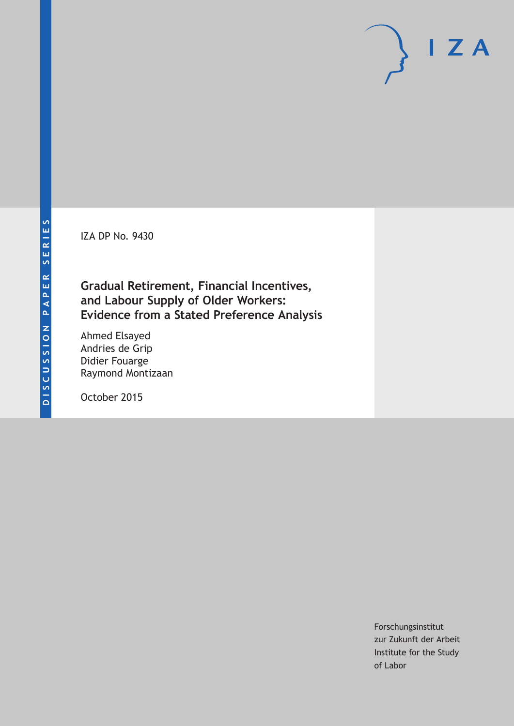IZA DP No. 9430

**Gradual Retirement, Financial Incentives, and Labour Supply of Older Workers: Evidence from a Stated Preference Analysis**

Ahmed Elsayed Andries de Grip Didier Fouarge Raymond Montizaan

October 2015

Forschungsinstitut zur Zukunft der Arbeit Institute for the Study of Labor

 $I Z A$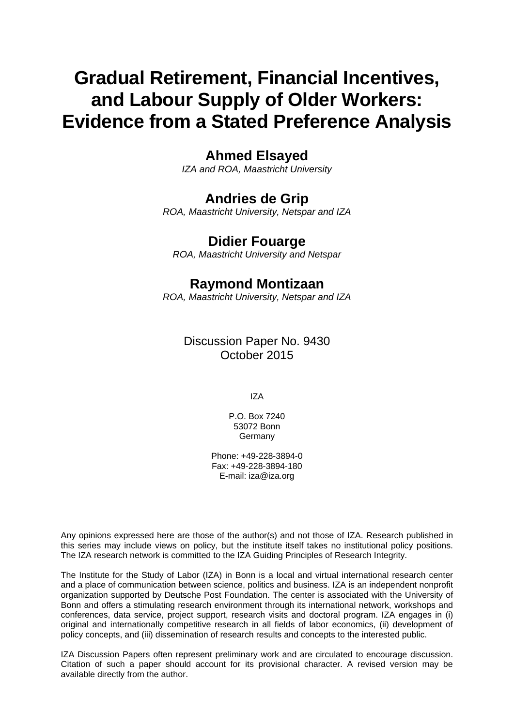# **Gradual Retirement, Financial Incentives, and Labour Supply of Older Workers: Evidence from a Stated Preference Analysis**

# **Ahmed Elsayed**

*IZA and ROA, Maastricht University* 

# **Andries de Grip**

*ROA, Maastricht University, Netspar and IZA* 

# **Didier Fouarge**

*ROA, Maastricht University and Netspar*

# **Raymond Montizaan**

*ROA, Maastricht University, Netspar and IZA*

Discussion Paper No. 9430 October 2015

IZA

P.O. Box 7240 53072 Bonn Germany

Phone: +49-228-3894-0 Fax: +49-228-3894-180 E-mail: iza@iza.org

Any opinions expressed here are those of the author(s) and not those of IZA. Research published in this series may include views on policy, but the institute itself takes no institutional policy positions. The IZA research network is committed to the IZA Guiding Principles of Research Integrity.

The Institute for the Study of Labor (IZA) in Bonn is a local and virtual international research center and a place of communication between science, politics and business. IZA is an independent nonprofit organization supported by Deutsche Post Foundation. The center is associated with the University of Bonn and offers a stimulating research environment through its international network, workshops and conferences, data service, project support, research visits and doctoral program. IZA engages in (i) original and internationally competitive research in all fields of labor economics, (ii) development of policy concepts, and (iii) dissemination of research results and concepts to the interested public.

IZA Discussion Papers often represent preliminary work and are circulated to encourage discussion. Citation of such a paper should account for its provisional character. A revised version may be available directly from the author.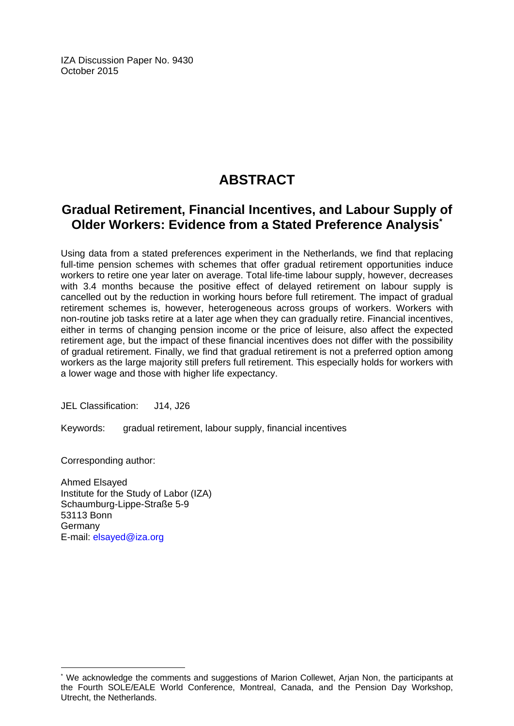IZA Discussion Paper No. 9430 October 2015

# **ABSTRACT**

# **Gradual Retirement, Financial Incentives, and Labour Supply of Older Workers: Evidence from a Stated Preference Analysis\***

Using data from a stated preferences experiment in the Netherlands, we find that replacing full-time pension schemes with schemes that offer gradual retirement opportunities induce workers to retire one year later on average. Total life-time labour supply, however, decreases with 3.4 months because the positive effect of delayed retirement on labour supply is cancelled out by the reduction in working hours before full retirement. The impact of gradual retirement schemes is, however, heterogeneous across groups of workers. Workers with non-routine job tasks retire at a later age when they can gradually retire. Financial incentives, either in terms of changing pension income or the price of leisure, also affect the expected retirement age, but the impact of these financial incentives does not differ with the possibility of gradual retirement. Finally, we find that gradual retirement is not a preferred option among workers as the large majority still prefers full retirement. This especially holds for workers with a lower wage and those with higher life expectancy.

JEL Classification: J14, J26

Keywords: gradual retirement, labour supply, financial incentives

Corresponding author:

 $\overline{a}$ 

Ahmed Elsayed Institute for the Study of Labor (IZA) Schaumburg-Lippe-Straße 5-9 53113 Bonn Germany E-mail: elsayed@iza.org

<sup>\*</sup> We acknowledge the comments and suggestions of Marion Collewet, Arian Non, the participants at the Fourth SOLE/EALE World Conference, Montreal, Canada, and the Pension Day Workshop, Utrecht, the Netherlands.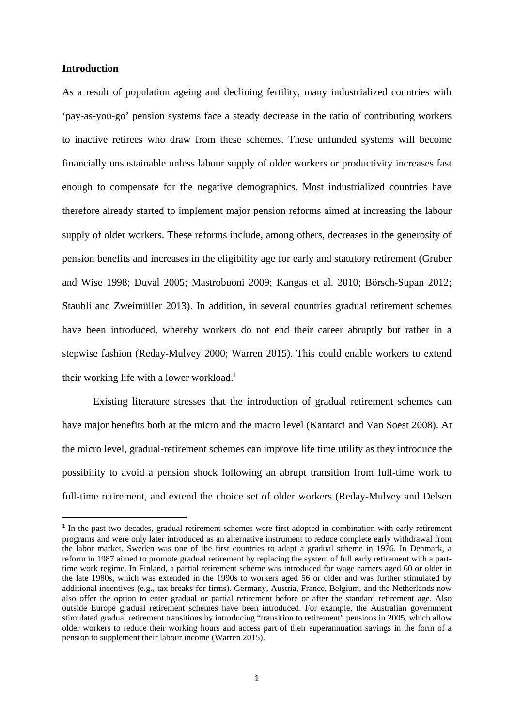### **Introduction**

As a result of population ageing and declining fertility, many industrialized countries with 'pay-as-you-go' pension systems face a steady decrease in the ratio of contributing workers to inactive retirees who draw from these schemes. These unfunded systems will become financially unsustainable unless labour supply of older workers or productivity increases fast enough to compensate for the negative demographics. Most industrialized countries have therefore already started to implement major pension reforms aimed at increasing the labour supply of older workers. These reforms include, among others, decreases in the generosity of pension benefits and increases in the eligibility age for early and statutory retirement (Gruber and Wise 1998; Duval 2005; Mastrobuoni 2009; Kangas et al. 2010; Börsch-Supan 2012; Staubli and Zweimüller 2013). In addition, in several countries gradual retirement schemes have been introduced, whereby workers do not end their career abruptly but rather in a stepwise fashion (Reday-Mulvey 2000; Warren 2015). This could enable workers to extend their working life with a lower workload.<sup>1</sup>

Existing literature stresses that the introduction of gradual retirement schemes can have major benefits both at the micro and the macro level (Kantarci and Van Soest 2008). At the micro level, gradual-retirement schemes can improve life time utility as they introduce the possibility to avoid a pension shock following an abrupt transition from full-time work to full-time retirement, and extend the choice set of older workers (Reday-Mulvey and Delsen

<sup>&</sup>lt;sup>1</sup> In the past two decades, gradual retirement schemes were first adopted in combination with early retirement programs and were only later introduced as an alternative instrument to reduce complete early withdrawal from the labor market. Sweden was one of the first countries to adapt a gradual scheme in 1976. In Denmark, a reform in 1987 aimed to promote gradual retirement by replacing the system of full early retirement with a parttime work regime. In Finland, a partial retirement scheme was introduced for wage earners aged 60 or older in the late 1980s, which was extended in the 1990s to workers aged 56 or older and was further stimulated by additional incentives (e.g., tax breaks for firms). Germany, Austria, France, Belgium, and the Netherlands now also offer the option to enter gradual or partial retirement before or after the standard retirement age. Also outside Europe gradual retirement schemes have been introduced. For example, the Australian government stimulated gradual retirement transitions by introducing "transition to retirement" pensions in 2005, which allow older workers to reduce their working hours and access part of their superannuation savings in the form of a pension to supplement their labour income (Warren 2015).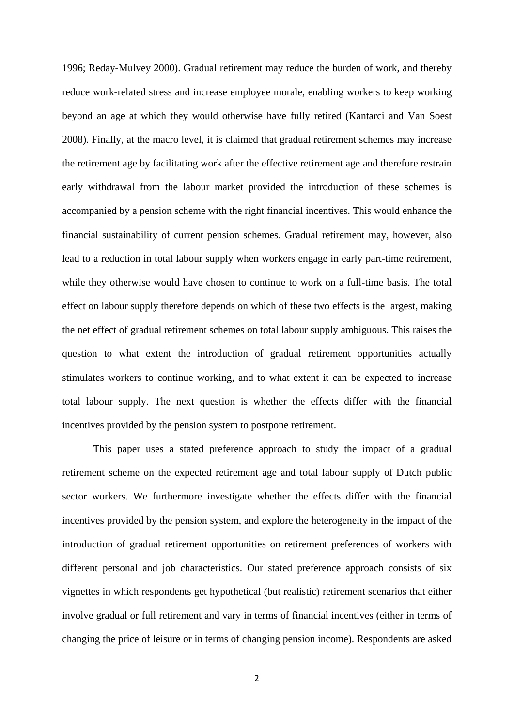1996; Reday-Mulvey 2000). Gradual retirement may reduce the burden of work, and thereby reduce work-related stress and increase employee morale, enabling workers to keep working beyond an age at which they would otherwise have fully retired (Kantarci and Van Soest 2008). Finally, at the macro level, it is claimed that gradual retirement schemes may increase the retirement age by facilitating work after the effective retirement age and therefore restrain early withdrawal from the labour market provided the introduction of these schemes is accompanied by a pension scheme with the right financial incentives. This would enhance the financial sustainability of current pension schemes. Gradual retirement may, however, also lead to a reduction in total labour supply when workers engage in early part-time retirement, while they otherwise would have chosen to continue to work on a full-time basis. The total effect on labour supply therefore depends on which of these two effects is the largest, making the net effect of gradual retirement schemes on total labour supply ambiguous. This raises the question to what extent the introduction of gradual retirement opportunities actually stimulates workers to continue working, and to what extent it can be expected to increase total labour supply. The next question is whether the effects differ with the financial incentives provided by the pension system to postpone retirement.

This paper uses a stated preference approach to study the impact of a gradual retirement scheme on the expected retirement age and total labour supply of Dutch public sector workers. We furthermore investigate whether the effects differ with the financial incentives provided by the pension system, and explore the heterogeneity in the impact of the introduction of gradual retirement opportunities on retirement preferences of workers with different personal and job characteristics. Our stated preference approach consists of six vignettes in which respondents get hypothetical (but realistic) retirement scenarios that either involve gradual or full retirement and vary in terms of financial incentives (either in terms of changing the price of leisure or in terms of changing pension income). Respondents are asked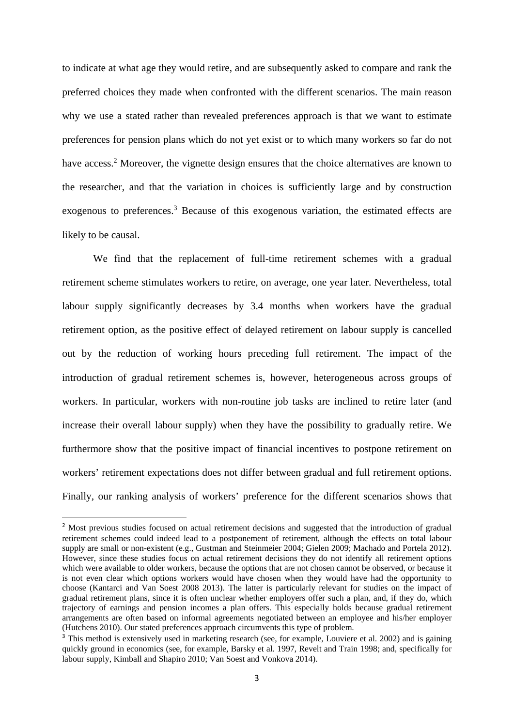to indicate at what age they would retire, and are subsequently asked to compare and rank the preferred choices they made when confronted with the different scenarios. The main reason why we use a stated rather than revealed preferences approach is that we want to estimate preferences for pension plans which do not yet exist or to which many workers so far do not have access.<sup>2</sup> Moreover, the vignette design ensures that the choice alternatives are known to the researcher, and that the variation in choices is sufficiently large and by construction exogenous to preferences.<sup>3</sup> Because of this exogenous variation, the estimated effects are likely to be causal.

We find that the replacement of full-time retirement schemes with a gradual retirement scheme stimulates workers to retire, on average, one year later. Nevertheless, total labour supply significantly decreases by 3.4 months when workers have the gradual retirement option, as the positive effect of delayed retirement on labour supply is cancelled out by the reduction of working hours preceding full retirement. The impact of the introduction of gradual retirement schemes is, however, heterogeneous across groups of workers. In particular, workers with non-routine job tasks are inclined to retire later (and increase their overall labour supply) when they have the possibility to gradually retire. We furthermore show that the positive impact of financial incentives to postpone retirement on workers' retirement expectations does not differ between gradual and full retirement options. Finally, our ranking analysis of workers' preference for the different scenarios shows that

<sup>&</sup>lt;sup>2</sup> Most previous studies focused on actual retirement decisions and suggested that the introduction of gradual retirement schemes could indeed lead to a postponement of retirement, although the effects on total labour supply are small or non-existent (e.g., Gustman and Steinmeier 2004; Gielen 2009; Machado and Portela 2012). However, since these studies focus on actual retirement decisions they do not identify all retirement options which were available to older workers, because the options that are not chosen cannot be observed, or because it is not even clear which options workers would have chosen when they would have had the opportunity to choose (Kantarci and Van Soest 2008 2013). The latter is particularly relevant for studies on the impact of gradual retirement plans, since it is often unclear whether employers offer such a plan, and, if they do, which trajectory of earnings and pension incomes a plan offers. This especially holds because gradual retirement arrangements are often based on informal agreements negotiated between an employee and his/her employer (Hutchens 2010). Our stated preferences approach circumvents this type of problem.

<sup>&</sup>lt;sup>3</sup> This method is extensively used in marketing research (see, for example, Louviere et al. 2002) and is gaining quickly ground in economics (see, for example, Barsky et al. 1997, Revelt and Train 1998; and, specifically for labour supply, Kimball and Shapiro 2010; Van Soest and Vonkova 2014).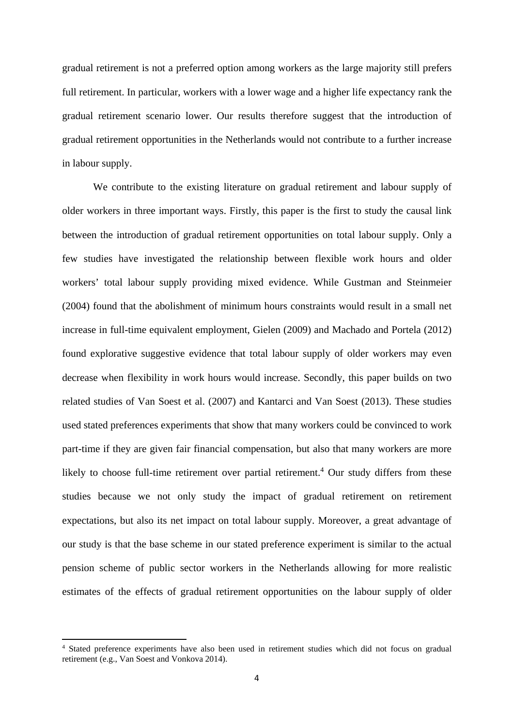gradual retirement is not a preferred option among workers as the large majority still prefers full retirement. In particular, workers with a lower wage and a higher life expectancy rank the gradual retirement scenario lower. Our results therefore suggest that the introduction of gradual retirement opportunities in the Netherlands would not contribute to a further increase in labour supply.

We contribute to the existing literature on gradual retirement and labour supply of older workers in three important ways. Firstly, this paper is the first to study the causal link between the introduction of gradual retirement opportunities on total labour supply. Only a few studies have investigated the relationship between flexible work hours and older workers' total labour supply providing mixed evidence. While Gustman and Steinmeier (2004) found that the abolishment of minimum hours constraints would result in a small net increase in full-time equivalent employment, Gielen (2009) and Machado and Portela (2012) found explorative suggestive evidence that total labour supply of older workers may even decrease when flexibility in work hours would increase. Secondly, this paper builds on two related studies of Van Soest et al. (2007) and Kantarci and Van Soest (2013). These studies used stated preferences experiments that show that many workers could be convinced to work part-time if they are given fair financial compensation, but also that many workers are more likely to choose full-time retirement over partial retirement.<sup>4</sup> Our study differs from these studies because we not only study the impact of gradual retirement on retirement expectations, but also its net impact on total labour supply. Moreover, a great advantage of our study is that the base scheme in our stated preference experiment is similar to the actual pension scheme of public sector workers in the Netherlands allowing for more realistic estimates of the effects of gradual retirement opportunities on the labour supply of older

<sup>4</sup> Stated preference experiments have also been used in retirement studies which did not focus on gradual retirement (e.g., Van Soest and Vonkova 2014).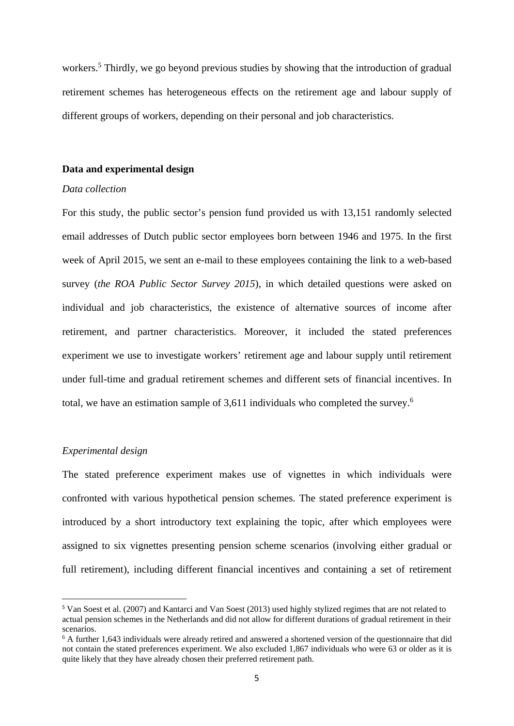workers.<sup>5</sup> Thirdly, we go beyond previous studies by showing that the introduction of gradual retirement schemes has heterogeneous effects on the retirement age and labour supply of different groups of workers, depending on their personal and job characteristics.

## **Data and experimental design**

### *Data collection*

For this study, the public sector's pension fund provided us with 13,151 randomly selected email addresses of Dutch public sector employees born between 1946 and 1975. In the first week of April 2015, we sent an e-mail to these employees containing the link to a web-based survey (*the ROA Public Sector Survey 2015*), in which detailed questions were asked on individual and job characteristics, the existence of alternative sources of income after retirement, and partner characteristics. Moreover, it included the stated preferences experiment we use to investigate workers' retirement age and labour supply until retirement under full-time and gradual retirement schemes and different sets of financial incentives. In total, we have an estimation sample of 3,611 individuals who completed the survey.6

## *Experimental design*

The stated preference experiment makes use of vignettes in which individuals were confronted with various hypothetical pension schemes. The stated preference experiment is introduced by a short introductory text explaining the topic, after which employees were assigned to six vignettes presenting pension scheme scenarios (involving either gradual or full retirement), including different financial incentives and containing a set of retirement

<sup>5</sup> Van Soest et al. (2007) and Kantarci and Van Soest (2013) used highly stylized regimes that are not related to actual pension schemes in the Netherlands and did not allow for different durations of gradual retirement in their scenarios.

<sup>&</sup>lt;sup>6</sup> A further 1,643 individuals were already retired and answered a shortened version of the questionnaire that did not contain the stated preferences experiment. We also excluded 1,867 individuals who were 63 or older as it is quite likely that they have already chosen their preferred retirement path.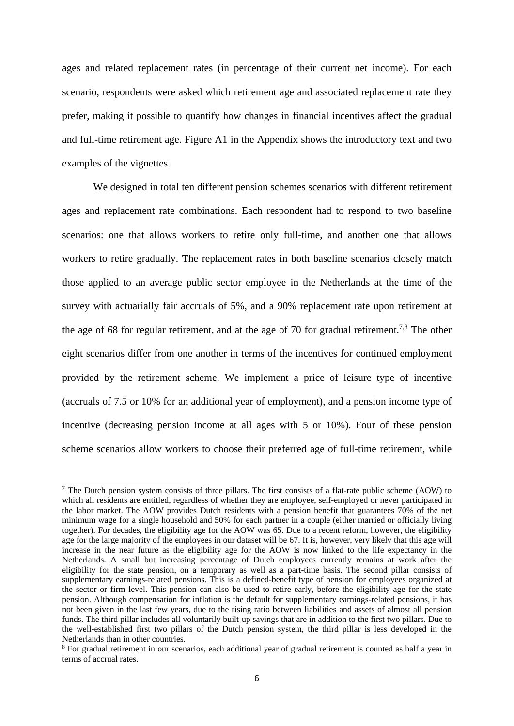ages and related replacement rates (in percentage of their current net income). For each scenario, respondents were asked which retirement age and associated replacement rate they prefer, making it possible to quantify how changes in financial incentives affect the gradual and full-time retirement age. Figure A1 in the Appendix shows the introductory text and two examples of the vignettes.

We designed in total ten different pension schemes scenarios with different retirement ages and replacement rate combinations. Each respondent had to respond to two baseline scenarios: one that allows workers to retire only full-time, and another one that allows workers to retire gradually. The replacement rates in both baseline scenarios closely match those applied to an average public sector employee in the Netherlands at the time of the survey with actuarially fair accruals of 5%, and a 90% replacement rate upon retirement at the age of 68 for regular retirement, and at the age of 70 for gradual retirement.<sup>7,8</sup> The other eight scenarios differ from one another in terms of the incentives for continued employment provided by the retirement scheme. We implement a price of leisure type of incentive (accruals of 7.5 or 10% for an additional year of employment), and a pension income type of incentive (decreasing pension income at all ages with 5 or 10%). Four of these pension scheme scenarios allow workers to choose their preferred age of full-time retirement, while

<sup>7</sup> The Dutch pension system consists of three pillars. The first consists of a flat-rate public scheme (AOW) to which all residents are entitled, regardless of whether they are employee, self-employed or never participated in the labor market. The AOW provides Dutch residents with a pension benefit that guarantees 70% of the net minimum wage for a single household and 50% for each partner in a couple (either married or officially living together). For decades, the eligibility age for the AOW was 65. Due to a recent reform, however, the eligibility age for the large majority of the employees in our dataset will be 67. It is, however, very likely that this age will increase in the near future as the eligibility age for the AOW is now linked to the life expectancy in the Netherlands. A small but increasing percentage of Dutch employees currently remains at work after the eligibility for the state pension, on a temporary as well as a part-time basis. The second pillar consists of supplementary earnings-related pensions. This is a defined-benefit type of pension for employees organized at the sector or firm level. This pension can also be used to retire early, before the eligibility age for the state pension. Although compensation for inflation is the default for supplementary earnings-related pensions, it has not been given in the last few years, due to the rising ratio between liabilities and assets of almost all pension funds. The third pillar includes all voluntarily built-up savings that are in addition to the first two pillars. Due to the well-established first two pillars of the Dutch pension system, the third pillar is less developed in the Netherlands than in other countries.

<sup>&</sup>lt;sup>8</sup> For gradual retirement in our scenarios, each additional year of gradual retirement is counted as half a year in terms of accrual rates.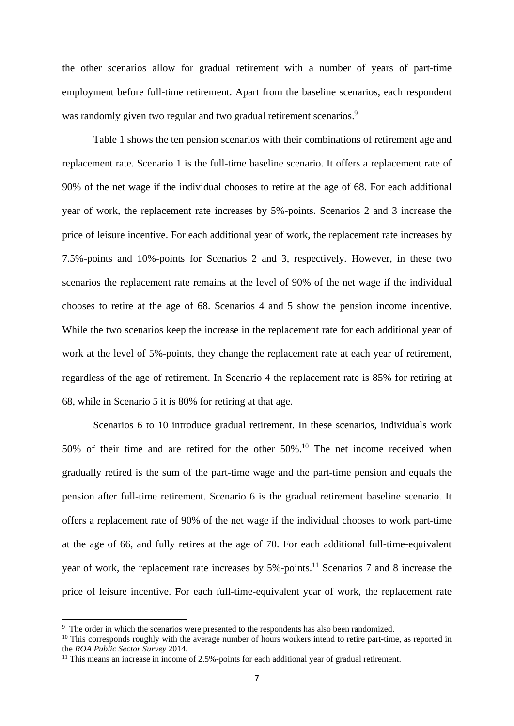the other scenarios allow for gradual retirement with a number of years of part-time employment before full-time retirement. Apart from the baseline scenarios, each respondent was randomly given two regular and two gradual retirement scenarios.<sup>9</sup>

Table 1 shows the ten pension scenarios with their combinations of retirement age and replacement rate. Scenario 1 is the full-time baseline scenario. It offers a replacement rate of 90% of the net wage if the individual chooses to retire at the age of 68. For each additional year of work, the replacement rate increases by 5%-points. Scenarios 2 and 3 increase the price of leisure incentive. For each additional year of work, the replacement rate increases by 7.5%-points and 10%-points for Scenarios 2 and 3, respectively. However, in these two scenarios the replacement rate remains at the level of 90% of the net wage if the individual chooses to retire at the age of 68. Scenarios 4 and 5 show the pension income incentive. While the two scenarios keep the increase in the replacement rate for each additional year of work at the level of 5%-points, they change the replacement rate at each year of retirement, regardless of the age of retirement. In Scenario 4 the replacement rate is 85% for retiring at 68, while in Scenario 5 it is 80% for retiring at that age.

Scenarios 6 to 10 introduce gradual retirement. In these scenarios, individuals work 50% of their time and are retired for the other 50%.10 The net income received when gradually retired is the sum of the part-time wage and the part-time pension and equals the pension after full-time retirement. Scenario 6 is the gradual retirement baseline scenario. It offers a replacement rate of 90% of the net wage if the individual chooses to work part-time at the age of 66, and fully retires at the age of 70. For each additional full-time-equivalent year of work, the replacement rate increases by  $5%$ -points.<sup>11</sup> Scenarios 7 and 8 increase the price of leisure incentive. For each full-time-equivalent year of work, the replacement rate

<sup>&</sup>lt;sup>9</sup> The order in which the scenarios were presented to the respondents has also been randomized.

<sup>&</sup>lt;sup>10</sup> This corresponds roughly with the average number of hours workers intend to retire part-time, as reported in the *ROA Public Sector Survey* 2014. 11 This means an increase in income of 2.5%-points for each additional year of gradual retirement.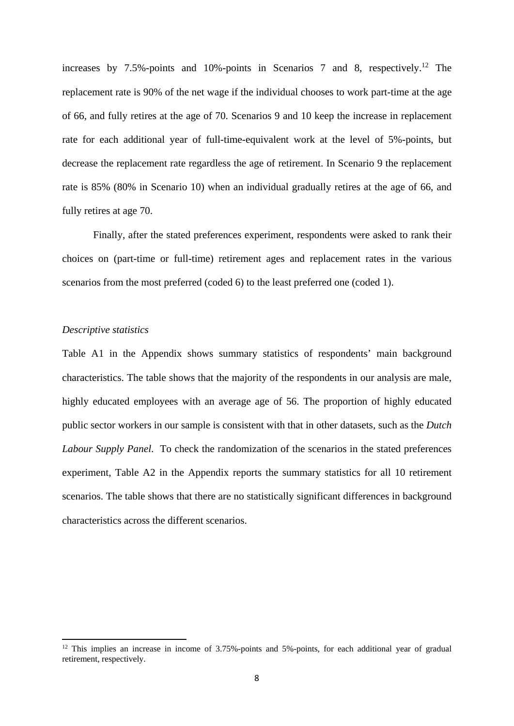increases by 7.5%-points and 10%-points in Scenarios 7 and 8, respectively.<sup>12</sup> The replacement rate is 90% of the net wage if the individual chooses to work part-time at the age of 66, and fully retires at the age of 70. Scenarios 9 and 10 keep the increase in replacement rate for each additional year of full-time-equivalent work at the level of 5%-points, but decrease the replacement rate regardless the age of retirement. In Scenario 9 the replacement rate is 85% (80% in Scenario 10) when an individual gradually retires at the age of 66, and fully retires at age 70.

Finally, after the stated preferences experiment, respondents were asked to rank their choices on (part-time or full-time) retirement ages and replacement rates in the various scenarios from the most preferred (coded 6) to the least preferred one (coded 1).

# *Descriptive statistics*

Table A1 in the Appendix shows summary statistics of respondents' main background characteristics. The table shows that the majority of the respondents in our analysis are male, highly educated employees with an average age of 56. The proportion of highly educated public sector workers in our sample is consistent with that in other datasets, such as the *Dutch Labour Supply Panel*. To check the randomization of the scenarios in the stated preferences experiment, Table A2 in the Appendix reports the summary statistics for all 10 retirement scenarios. The table shows that there are no statistically significant differences in background characteristics across the different scenarios.

<sup>&</sup>lt;sup>12</sup> This implies an increase in income of  $3.75\%$ -points and  $5\%$ -points, for each additional year of gradual retirement, respectively.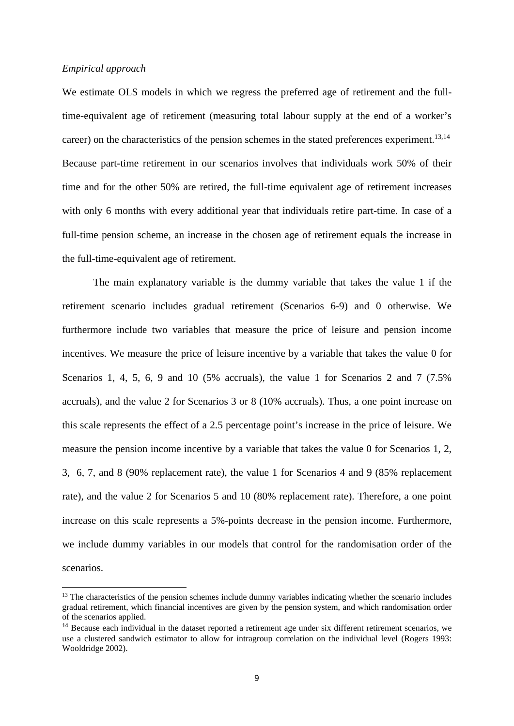## *Empirical approach*

We estimate OLS models in which we regress the preferred age of retirement and the fulltime-equivalent age of retirement (measuring total labour supply at the end of a worker's career) on the characteristics of the pension schemes in the stated preferences experiment.<sup>13,14</sup> Because part-time retirement in our scenarios involves that individuals work 50% of their time and for the other 50% are retired, the full-time equivalent age of retirement increases with only 6 months with every additional year that individuals retire part-time. In case of a full-time pension scheme, an increase in the chosen age of retirement equals the increase in the full-time-equivalent age of retirement.

The main explanatory variable is the dummy variable that takes the value 1 if the retirement scenario includes gradual retirement (Scenarios 6-9) and 0 otherwise. We furthermore include two variables that measure the price of leisure and pension income incentives. We measure the price of leisure incentive by a variable that takes the value 0 for Scenarios 1, 4, 5, 6, 9 and 10 (5% accruals), the value 1 for Scenarios 2 and 7 (7.5% accruals), and the value 2 for Scenarios 3 or 8 (10% accruals). Thus, a one point increase on this scale represents the effect of a 2.5 percentage point's increase in the price of leisure. We measure the pension income incentive by a variable that takes the value 0 for Scenarios 1, 2, 3, 6, 7, and 8 (90% replacement rate), the value 1 for Scenarios 4 and 9 (85% replacement rate), and the value 2 for Scenarios 5 and 10 (80% replacement rate). Therefore, a one point increase on this scale represents a 5%-points decrease in the pension income. Furthermore, we include dummy variables in our models that control for the randomisation order of the scenarios.

<sup>&</sup>lt;sup>13</sup> The characteristics of the pension schemes include dummy variables indicating whether the scenario includes gradual retirement, which financial incentives are given by the pension system, and which randomisation order of the scenarios applied.

<sup>&</sup>lt;sup>14</sup> Because each individual in the dataset reported a retirement age under six different retirement scenarios, we use a clustered sandwich estimator to allow for intragroup correlation on the individual level (Rogers 1993: Wooldridge 2002).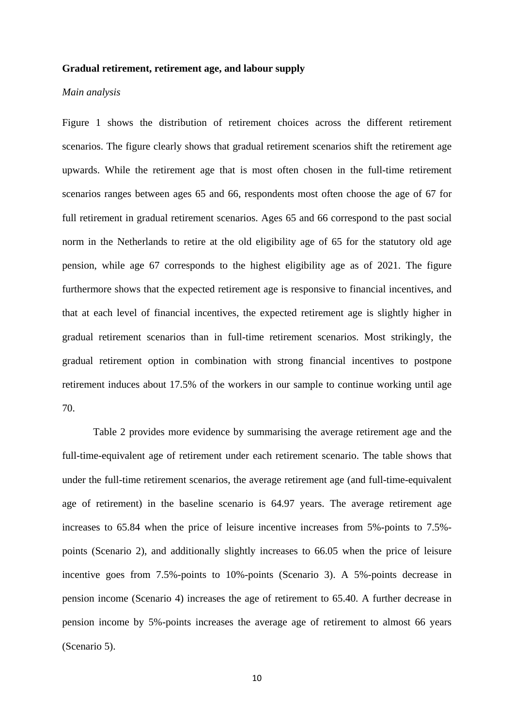#### **Gradual retirement, retirement age, and labour supply**

### *Main analysis*

Figure 1 shows the distribution of retirement choices across the different retirement scenarios. The figure clearly shows that gradual retirement scenarios shift the retirement age upwards. While the retirement age that is most often chosen in the full-time retirement scenarios ranges between ages 65 and 66, respondents most often choose the age of 67 for full retirement in gradual retirement scenarios. Ages 65 and 66 correspond to the past social norm in the Netherlands to retire at the old eligibility age of 65 for the statutory old age pension, while age 67 corresponds to the highest eligibility age as of 2021. The figure furthermore shows that the expected retirement age is responsive to financial incentives, and that at each level of financial incentives, the expected retirement age is slightly higher in gradual retirement scenarios than in full-time retirement scenarios. Most strikingly, the gradual retirement option in combination with strong financial incentives to postpone retirement induces about 17.5% of the workers in our sample to continue working until age 70.

Table 2 provides more evidence by summarising the average retirement age and the full-time-equivalent age of retirement under each retirement scenario. The table shows that under the full-time retirement scenarios, the average retirement age (and full-time-equivalent age of retirement) in the baseline scenario is 64.97 years. The average retirement age increases to 65.84 when the price of leisure incentive increases from 5%-points to 7.5% points (Scenario 2), and additionally slightly increases to 66.05 when the price of leisure incentive goes from 7.5%-points to 10%-points (Scenario 3). A 5%-points decrease in pension income (Scenario 4) increases the age of retirement to 65.40. A further decrease in pension income by 5%-points increases the average age of retirement to almost 66 years (Scenario 5).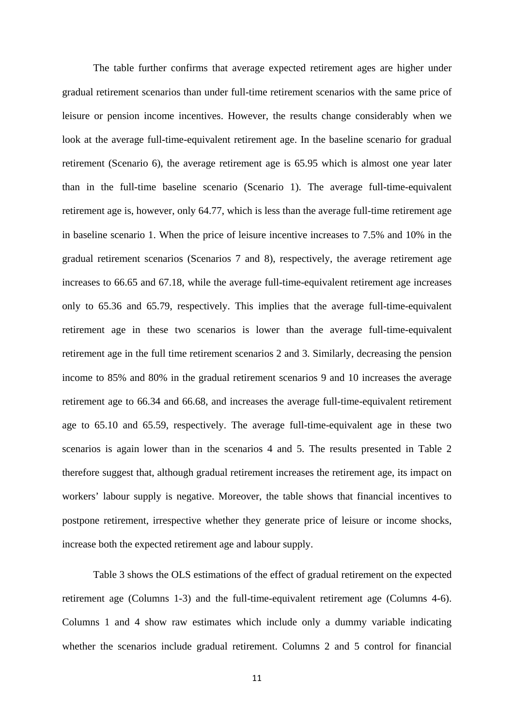The table further confirms that average expected retirement ages are higher under gradual retirement scenarios than under full-time retirement scenarios with the same price of leisure or pension income incentives. However, the results change considerably when we look at the average full-time-equivalent retirement age. In the baseline scenario for gradual retirement (Scenario 6), the average retirement age is 65.95 which is almost one year later than in the full-time baseline scenario (Scenario 1). The average full-time-equivalent retirement age is, however, only 64.77, which is less than the average full-time retirement age in baseline scenario 1. When the price of leisure incentive increases to 7.5% and 10% in the gradual retirement scenarios (Scenarios 7 and 8), respectively, the average retirement age increases to 66.65 and 67.18, while the average full-time-equivalent retirement age increases only to 65.36 and 65.79, respectively. This implies that the average full-time-equivalent retirement age in these two scenarios is lower than the average full-time-equivalent retirement age in the full time retirement scenarios 2 and 3. Similarly, decreasing the pension income to 85% and 80% in the gradual retirement scenarios 9 and 10 increases the average retirement age to 66.34 and 66.68, and increases the average full-time-equivalent retirement age to 65.10 and 65.59, respectively. The average full-time-equivalent age in these two scenarios is again lower than in the scenarios 4 and 5. The results presented in Table 2 therefore suggest that, although gradual retirement increases the retirement age, its impact on workers' labour supply is negative. Moreover, the table shows that financial incentives to postpone retirement, irrespective whether they generate price of leisure or income shocks, increase both the expected retirement age and labour supply.

 Table 3 shows the OLS estimations of the effect of gradual retirement on the expected retirement age (Columns 1-3) and the full-time-equivalent retirement age (Columns 4-6). Columns 1 and 4 show raw estimates which include only a dummy variable indicating whether the scenarios include gradual retirement. Columns 2 and 5 control for financial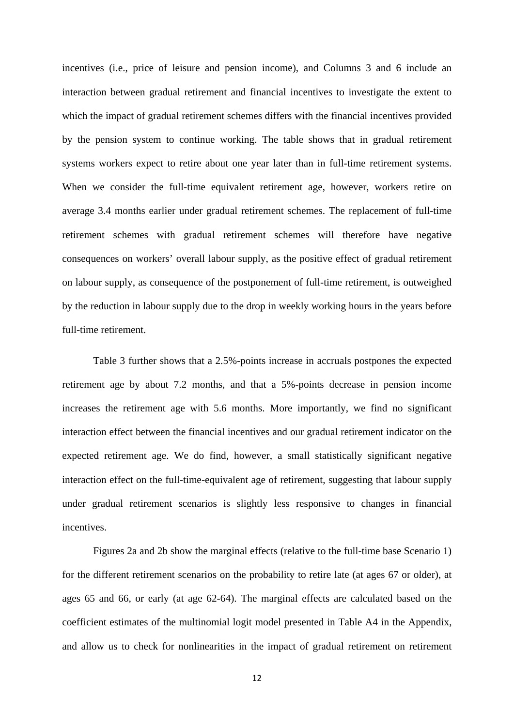incentives (i.e., price of leisure and pension income), and Columns 3 and 6 include an interaction between gradual retirement and financial incentives to investigate the extent to which the impact of gradual retirement schemes differs with the financial incentives provided by the pension system to continue working. The table shows that in gradual retirement systems workers expect to retire about one year later than in full-time retirement systems. When we consider the full-time equivalent retirement age, however, workers retire on average 3.4 months earlier under gradual retirement schemes. The replacement of full-time retirement schemes with gradual retirement schemes will therefore have negative consequences on workers' overall labour supply, as the positive effect of gradual retirement on labour supply, as consequence of the postponement of full-time retirement, is outweighed by the reduction in labour supply due to the drop in weekly working hours in the years before full-time retirement.

Table 3 further shows that a 2.5%-points increase in accruals postpones the expected retirement age by about 7.2 months, and that a 5%-points decrease in pension income increases the retirement age with 5.6 months. More importantly, we find no significant interaction effect between the financial incentives and our gradual retirement indicator on the expected retirement age. We do find, however, a small statistically significant negative interaction effect on the full-time-equivalent age of retirement, suggesting that labour supply under gradual retirement scenarios is slightly less responsive to changes in financial incentives.

Figures 2a and 2b show the marginal effects (relative to the full-time base Scenario 1) for the different retirement scenarios on the probability to retire late (at ages 67 or older), at ages 65 and 66, or early (at age 62-64). The marginal effects are calculated based on the coefficient estimates of the multinomial logit model presented in Table A4 in the Appendix, and allow us to check for nonlinearities in the impact of gradual retirement on retirement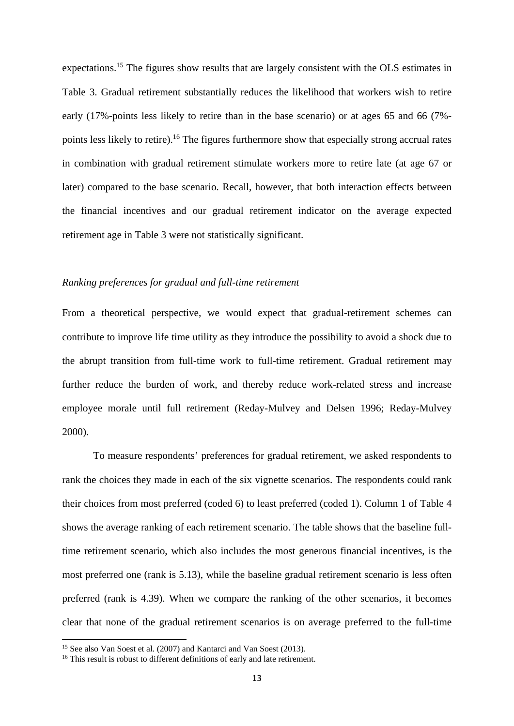expectations.<sup>15</sup> The figures show results that are largely consistent with the OLS estimates in Table 3. Gradual retirement substantially reduces the likelihood that workers wish to retire early (17%-points less likely to retire than in the base scenario) or at ages 65 and 66 (7% points less likely to retire).16 The figures furthermore show that especially strong accrual rates in combination with gradual retirement stimulate workers more to retire late (at age 67 or later) compared to the base scenario. Recall, however, that both interaction effects between the financial incentives and our gradual retirement indicator on the average expected retirement age in Table 3 were not statistically significant.

### *Ranking preferences for gradual and full-time retirement*

From a theoretical perspective, we would expect that gradual-retirement schemes can contribute to improve life time utility as they introduce the possibility to avoid a shock due to the abrupt transition from full-time work to full-time retirement. Gradual retirement may further reduce the burden of work, and thereby reduce work-related stress and increase employee morale until full retirement (Reday-Mulvey and Delsen 1996; Reday-Mulvey 2000).

To measure respondents' preferences for gradual retirement, we asked respondents to rank the choices they made in each of the six vignette scenarios. The respondents could rank their choices from most preferred (coded 6) to least preferred (coded 1). Column 1 of Table 4 shows the average ranking of each retirement scenario. The table shows that the baseline fulltime retirement scenario, which also includes the most generous financial incentives, is the most preferred one (rank is 5.13), while the baseline gradual retirement scenario is less often preferred (rank is 4.39). When we compare the ranking of the other scenarios, it becomes clear that none of the gradual retirement scenarios is on average preferred to the full-time

<sup>&</sup>lt;sup>15</sup> See also Van Soest et al. (2007) and Kantarci and Van Soest (2013).

<sup>&</sup>lt;sup>16</sup> This result is robust to different definitions of early and late retirement.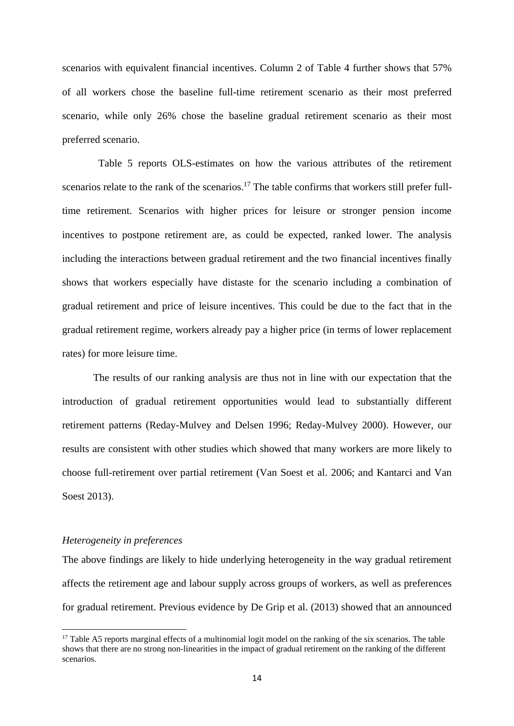scenarios with equivalent financial incentives. Column 2 of Table 4 further shows that 57% of all workers chose the baseline full-time retirement scenario as their most preferred scenario, while only 26% chose the baseline gradual retirement scenario as their most preferred scenario.

 Table 5 reports OLS-estimates on how the various attributes of the retirement scenarios relate to the rank of the scenarios.<sup>17</sup> The table confirms that workers still prefer fulltime retirement. Scenarios with higher prices for leisure or stronger pension income incentives to postpone retirement are, as could be expected, ranked lower. The analysis including the interactions between gradual retirement and the two financial incentives finally shows that workers especially have distaste for the scenario including a combination of gradual retirement and price of leisure incentives. This could be due to the fact that in the gradual retirement regime, workers already pay a higher price (in terms of lower replacement rates) for more leisure time.

 The results of our ranking analysis are thus not in line with our expectation that the introduction of gradual retirement opportunities would lead to substantially different retirement patterns (Reday-Mulvey and Delsen 1996; Reday-Mulvey 2000). However, our results are consistent with other studies which showed that many workers are more likely to choose full-retirement over partial retirement (Van Soest et al. 2006; and Kantarci and Van Soest 2013).

# *Heterogeneity in preferences*

The above findings are likely to hide underlying heterogeneity in the way gradual retirement affects the retirement age and labour supply across groups of workers, as well as preferences for gradual retirement. Previous evidence by De Grip et al. (2013) showed that an announced

 $17$  Table A5 reports marginal effects of a multinomial logit model on the ranking of the six scenarios. The table shows that there are no strong non-linearities in the impact of gradual retirement on the ranking of the different scenarios.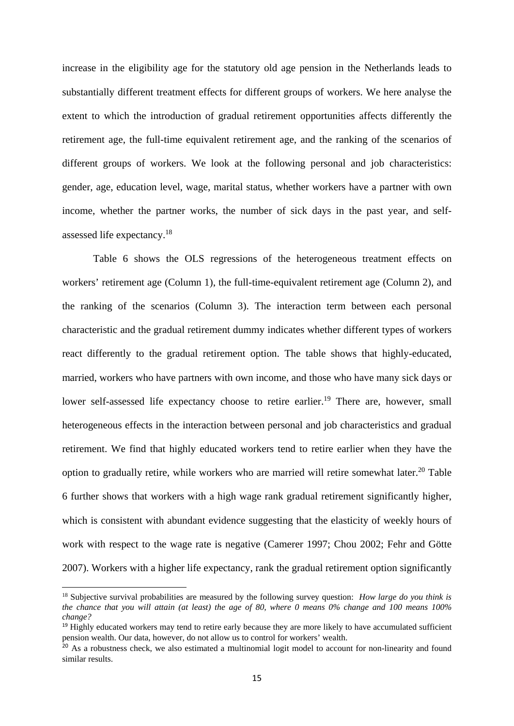increase in the eligibility age for the statutory old age pension in the Netherlands leads to substantially different treatment effects for different groups of workers. We here analyse the extent to which the introduction of gradual retirement opportunities affects differently the retirement age, the full-time equivalent retirement age, and the ranking of the scenarios of different groups of workers. We look at the following personal and job characteristics: gender, age, education level, wage, marital status, whether workers have a partner with own income, whether the partner works, the number of sick days in the past year, and selfassessed life expectancy.18

 Table 6 shows the OLS regressions of the heterogeneous treatment effects on workers' retirement age (Column 1), the full-time-equivalent retirement age (Column 2), and the ranking of the scenarios (Column 3). The interaction term between each personal characteristic and the gradual retirement dummy indicates whether different types of workers react differently to the gradual retirement option. The table shows that highly-educated, married, workers who have partners with own income, and those who have many sick days or lower self-assessed life expectancy choose to retire earlier.<sup>19</sup> There are, however, small heterogeneous effects in the interaction between personal and job characteristics and gradual retirement. We find that highly educated workers tend to retire earlier when they have the option to gradually retire, while workers who are married will retire somewhat later.<sup>20</sup> Table 6 further shows that workers with a high wage rank gradual retirement significantly higher, which is consistent with abundant evidence suggesting that the elasticity of weekly hours of work with respect to the wage rate is negative (Camerer 1997; Chou 2002; Fehr and Götte 2007). Workers with a higher life expectancy, rank the gradual retirement option significantly

<sup>18</sup> Subjective survival probabilities are measured by the following survey question: *How large do you think is the chance that you will attain (at least) the age of 80, where 0 means 0% change and 100 means 100% change?*

<sup>&</sup>lt;sup>19</sup> Highly educated workers may tend to retire early because they are more likely to have accumulated sufficient pension wealth. Our data, however, do not allow us to control for workers' wealth.

<sup>&</sup>lt;sup>20</sup> As a robustness check, we also estimated a multinomial logit model to account for non-linearity and found similar results.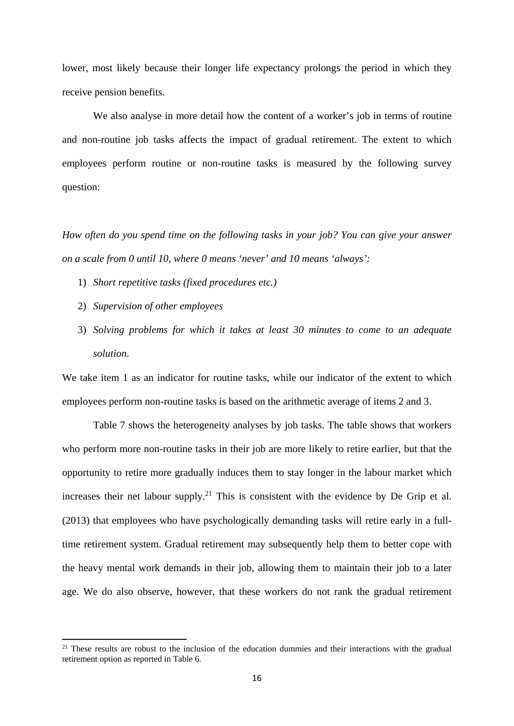lower, most likely because their longer life expectancy prolongs the period in which they receive pension benefits.

We also analyse in more detail how the content of a worker's job in terms of routine and non-routine job tasks affects the impact of gradual retirement. The extent to which employees perform routine or non-routine tasks is measured by the following survey question:

*How often do you spend time on the following tasks in your job? You can give your answer on a scale from 0 until 10, where 0 means 'never' and 10 means 'always':* 

- 1) *Short repetitive tasks (fixed procedures etc.)*
- 2) *Supervision of other employees*

3) *Solving problems for which it takes at least 30 minutes to come to an adequate solution*.

We take item 1 as an indicator for routine tasks, while our indicator of the extent to which employees perform non-routine tasks is based on the arithmetic average of items 2 and 3.

 Table 7 shows the heterogeneity analyses by job tasks. The table shows that workers who perform more non-routine tasks in their job are more likely to retire earlier, but that the opportunity to retire more gradually induces them to stay longer in the labour market which increases their net labour supply.<sup>21</sup> This is consistent with the evidence by De Grip et al. (2013) that employees who have psychologically demanding tasks will retire early in a fulltime retirement system. Gradual retirement may subsequently help them to better cope with the heavy mental work demands in their job, allowing them to maintain their job to a later age. We do also observe, however, that these workers do not rank the gradual retirement

 $2<sup>1</sup>$  These results are robust to the inclusion of the education dummies and their interactions with the gradual retirement option as reported in Table 6.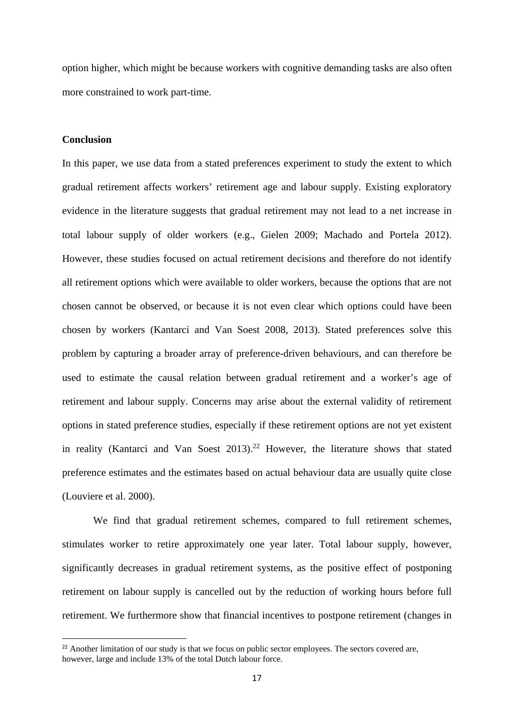option higher, which might be because workers with cognitive demanding tasks are also often more constrained to work part-time.

# **Conclusion**

In this paper, we use data from a stated preferences experiment to study the extent to which gradual retirement affects workers' retirement age and labour supply. Existing exploratory evidence in the literature suggests that gradual retirement may not lead to a net increase in total labour supply of older workers (e.g., Gielen 2009; Machado and Portela 2012). However, these studies focused on actual retirement decisions and therefore do not identify all retirement options which were available to older workers, because the options that are not chosen cannot be observed, or because it is not even clear which options could have been chosen by workers (Kantarci and Van Soest 2008, 2013). Stated preferences solve this problem by capturing a broader array of preference-driven behaviours, and can therefore be used to estimate the causal relation between gradual retirement and a worker's age of retirement and labour supply. Concerns may arise about the external validity of retirement options in stated preference studies, especially if these retirement options are not yet existent in reality (Kantarci and Van Soest  $2013$ ).<sup>22</sup> However, the literature shows that stated preference estimates and the estimates based on actual behaviour data are usually quite close (Louviere et al. 2000).

We find that gradual retirement schemes, compared to full retirement schemes, stimulates worker to retire approximately one year later. Total labour supply, however, significantly decreases in gradual retirement systems, as the positive effect of postponing retirement on labour supply is cancelled out by the reduction of working hours before full retirement. We furthermore show that financial incentives to postpone retirement (changes in

<sup>&</sup>lt;sup>22</sup> Another limitation of our study is that we focus on public sector employees. The sectors covered are, however, large and include 13% of the total Dutch labour force.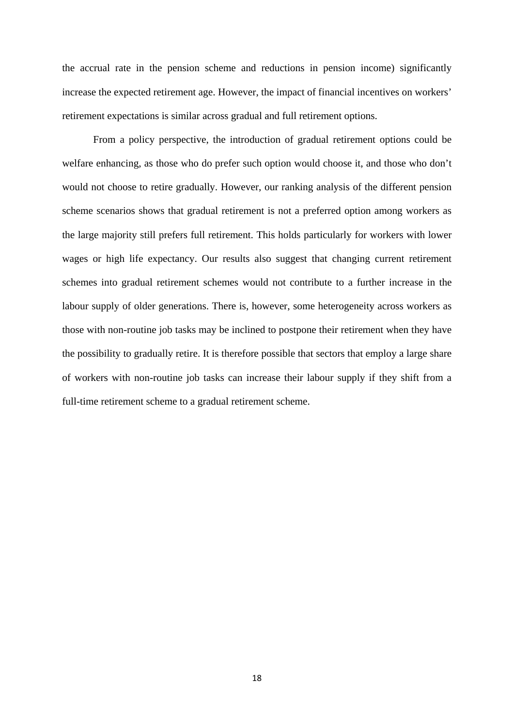the accrual rate in the pension scheme and reductions in pension income) significantly increase the expected retirement age. However, the impact of financial incentives on workers' retirement expectations is similar across gradual and full retirement options.

From a policy perspective, the introduction of gradual retirement options could be welfare enhancing, as those who do prefer such option would choose it, and those who don't would not choose to retire gradually. However, our ranking analysis of the different pension scheme scenarios shows that gradual retirement is not a preferred option among workers as the large majority still prefers full retirement. This holds particularly for workers with lower wages or high life expectancy. Our results also suggest that changing current retirement schemes into gradual retirement schemes would not contribute to a further increase in the labour supply of older generations. There is, however, some heterogeneity across workers as those with non-routine job tasks may be inclined to postpone their retirement when they have the possibility to gradually retire. It is therefore possible that sectors that employ a large share of workers with non-routine job tasks can increase their labour supply if they shift from a full-time retirement scheme to a gradual retirement scheme.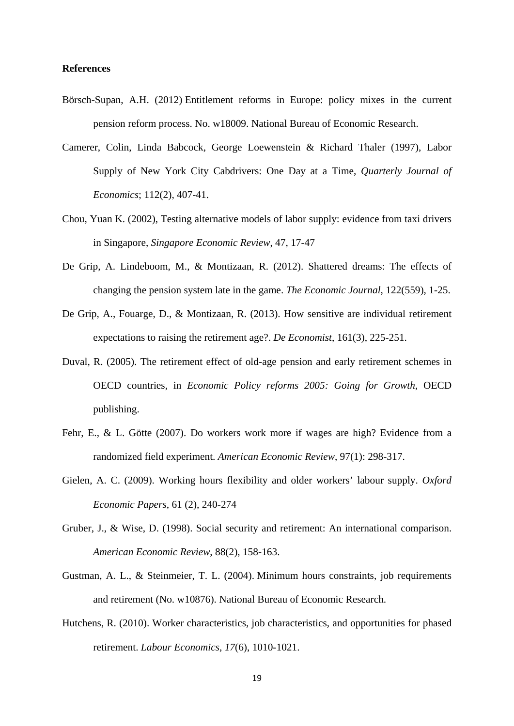## **References**

- Börsch-Supan, A.H. (2012) Entitlement reforms in Europe: policy mixes in the current pension reform process. No. w18009. National Bureau of Economic Research.
- Camerer, Colin, Linda Babcock, George Loewenstein & Richard Thaler (1997), Labor Supply of New York City Cabdrivers: One Day at a Time, *Quarterly Journal of Economics*; 112(2), 407-41.
- Chou, Yuan K. (2002), Testing alternative models of labor supply: evidence from taxi drivers in Singapore, *Singapore Economic Review*, 47, 17-47
- De Grip, A. Lindeboom, M., & Montizaan, R. (2012). Shattered dreams: The effects of changing the pension system late in the game. *The Economic Journal*, 122(559), 1-25.
- De Grip, A., Fouarge, D., & Montizaan, R. (2013). How sensitive are individual retirement expectations to raising the retirement age?. *De Economist*, 161(3), 225-251.
- Duval, R. (2005). The retirement effect of old-age pension and early retirement schemes in OECD countries, in *Economic Policy reforms 2005: Going for Growth*, OECD publishing.
- Fehr, E., & L. Götte (2007). Do workers work more if wages are high? Evidence from a randomized field experiment. *American Economic Review*, 97(1): 298-317.
- Gielen, A. C. (2009). Working hours flexibility and older workers' labour supply. *Oxford Economic Papers*, 61 (2), 240-274
- Gruber, J., & Wise, D. (1998). Social security and retirement: An international comparison. *American Economic Review*, 88(2), 158-163.
- Gustman, A. L., & Steinmeier, T. L. (2004). Minimum hours constraints, job requirements and retirement (No. w10876). National Bureau of Economic Research.
- Hutchens, R. (2010). Worker characteristics, job characteristics, and opportunities for phased retirement. *Labour Economics*, *17*(6), 1010-1021.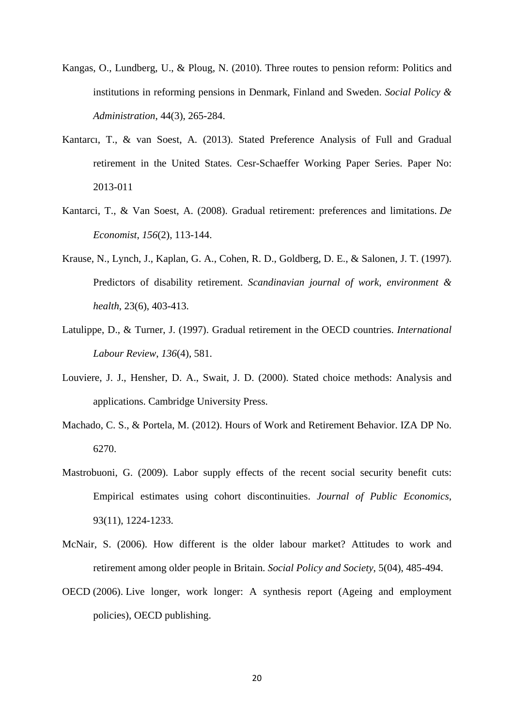- Kangas, O., Lundberg, U., & Ploug, N. (2010). Three routes to pension reform: Politics and institutions in reforming pensions in Denmark, Finland and Sweden. *Social Policy & Administration*, 44(3), 265-284.
- Kantarcı, T., & van Soest, A*.* (2013). Stated Preference Analysis of Full and Gradual retirement in the United States. Cesr-Schaeffer Working Paper Series. Paper No: 2013-011
- Kantarci, T., & Van Soest, A. (2008). Gradual retirement: preferences and limitations. *De Economist*, *156*(2), 113-144.
- Krause, N., Lynch, J., Kaplan, G. A., Cohen, R. D., Goldberg, D. E., & Salonen, J. T. (1997). Predictors of disability retirement. *Scandinavian journal of work, environment & health*, 23(6), 403-413.
- Latulippe, D., & Turner, J. (1997). Gradual retirement in the OECD countries. *International Labour Review*, *136*(4), 581.
- Louviere, J. J., Hensher, D. A., Swait, J. D. (2000). Stated choice methods: Analysis and applications. Cambridge University Press.
- Machado, C. S., & Portela, M. (2012). Hours of Work and Retirement Behavior. IZA DP No. 6270.
- Mastrobuoni, G. (2009). Labor supply effects of the recent social security benefit cuts: Empirical estimates using cohort discontinuities. *Journal of Public Economics*, 93(11), 1224-1233.
- McNair, S. (2006). How different is the older labour market? Attitudes to work and retirement among older people in Britain. *Social Policy and Society*, 5(04), 485-494.
- OECD (2006). Live longer, work longer: A synthesis report (Ageing and employment policies), OECD publishing.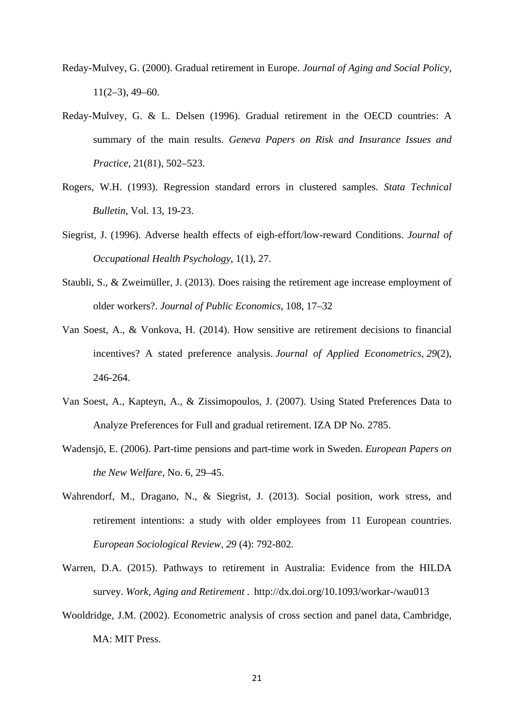- Reday-Mulvey, G. (2000). Gradual retirement in Europe. *Journal of Aging and Social Policy*,  $11(2-3)$ , 49–60.
- Reday-Mulvey, G. & L. Delsen (1996). Gradual retirement in the OECD countries: A summary of the main results. *Geneva Papers on Risk and Insurance Issues and Practice*, 21(81), 502–523.
- Rogers, W.H. (1993). Regression standard errors in clustered samples. *Stata Technical Bulletin*, Vol. 13, 19-23.
- Siegrist, J. (1996). Adverse health effects of eigh-effort/low-reward Conditions. *Journal of Occupational Health Psychology*, 1(1), 27.
- Staubli, S., & Zweimüller, J. (2013). Does raising the retirement age increase employment of older workers?. *Journal of Public Economics*, 108, 17–32
- Van Soest, A., & Vonkova, H. (2014). How sensitive are retirement decisions to financial incentives? A stated preference analysis. *Journal of Applied Econometrics*, *29*(2), 246-264.
- Van Soest, A., Kapteyn, A., & Zissimopoulos, J. (2007). Using Stated Preferences Data to Analyze Preferences for Full and gradual retirement. IZA DP No. 2785.
- Wadensjö, E. (2006). Part-time pensions and part-time work in Sweden. *European Papers on the New Welfare,* No. 6, 29–45.
- Wahrendorf, M., Dragano, N., & Siegrist, J. (2013). Social position, work stress, and retirement intentions: a study with older employees from 11 European countries. *European Sociological Review*, *29* (4): 792-802.
- Warren, D.A. (2015). Pathways to retirement in Australia: Evidence from the HILDA survey. *Work, Aging and Retirement* . http://dx.doi.org/10.1093/workar-/wau013
- Wooldridge, J.M. (2002). Econometric analysis of cross section and panel data, Cambridge, MA: MIT Press.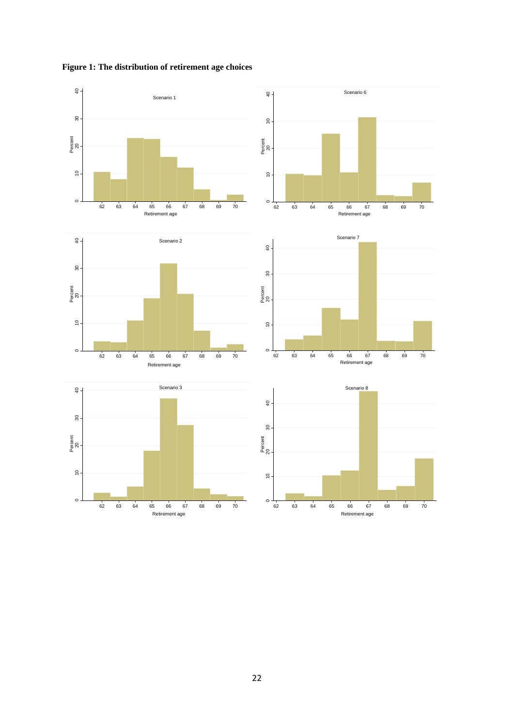**Figure 1: The distribution of retirement age choices** 

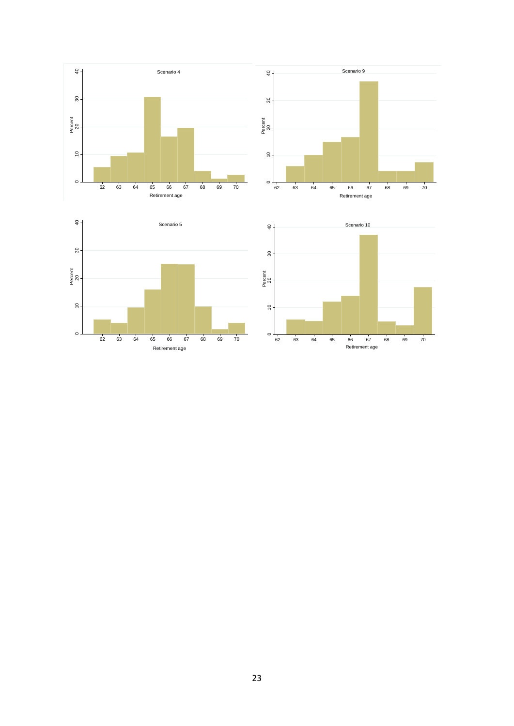

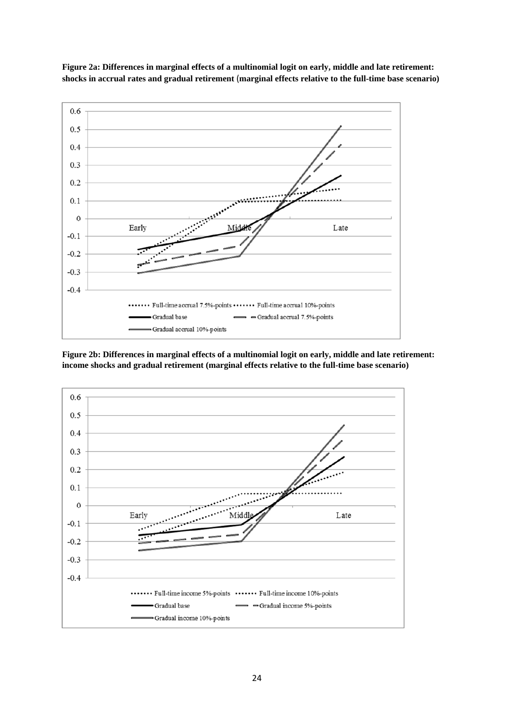

**Figure 2a: Differences in marginal effects of a multinomial logit on early, middle and late retirement: shocks in accrual rates and gradual retirement** (**marginal effects relative to the full-time base scenario)** 

**Figure 2b: Differences in marginal effects of a multinomial logit on early, middle and late retirement: income shocks and gradual retirement (marginal effects relative to the full-time base scenario)** 

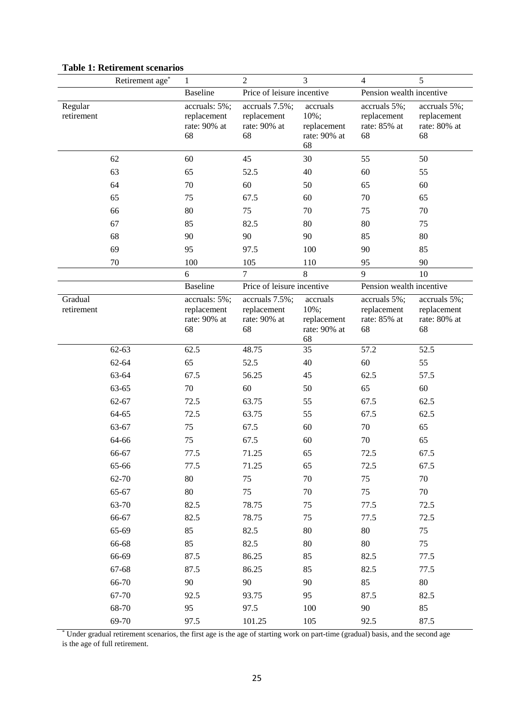|                       | Retirement age* | $\mathbf{1}$                                       | $\overline{2}$                                      | 3                                                         | $\overline{4}$                                    | 5                                                 |  |
|-----------------------|-----------------|----------------------------------------------------|-----------------------------------------------------|-----------------------------------------------------------|---------------------------------------------------|---------------------------------------------------|--|
|                       |                 | <b>Baseline</b>                                    | Price of leisure incentive                          |                                                           |                                                   | Pension wealth incentive                          |  |
| Regular<br>retirement |                 | accruals: 5%;<br>replacement<br>rate: 90% at<br>68 | accruals 7.5%;<br>replacement<br>rate: 90% at<br>68 | accruals<br>10%;<br>replacement<br>rate: 90% at<br>68     | accruals 5%;<br>replacement<br>rate: 85% at<br>68 | accruals 5%;<br>replacement<br>rate: 80% at<br>68 |  |
|                       | 62              | 60                                                 | 45                                                  | 30                                                        | 55                                                | 50                                                |  |
|                       | 63              | 65                                                 | 52.5                                                | 40                                                        | 60                                                | 55                                                |  |
|                       | 64              | 70                                                 | 60                                                  | 50                                                        | 65                                                | 60                                                |  |
|                       | 65              | 75                                                 | 67.5                                                | 60                                                        | 70                                                | 65                                                |  |
|                       | 66              | 80                                                 | 75                                                  | 70                                                        | 75                                                | 70                                                |  |
|                       | 67              | 85                                                 | 82.5                                                | 80                                                        | 80                                                | 75                                                |  |
|                       | 68              | 90                                                 | 90                                                  | 90                                                        | 85                                                | 80                                                |  |
|                       | 69              | 95                                                 | 97.5                                                | 100                                                       | 90                                                | 85                                                |  |
|                       | 70              | 100                                                | 105                                                 | 110                                                       | 95                                                | 90                                                |  |
|                       |                 | 6                                                  | $\tau$                                              | 8                                                         | 9                                                 | 10                                                |  |
|                       |                 | <b>Baseline</b>                                    | Price of leisure incentive                          |                                                           | Pension wealth incentive                          |                                                   |  |
| Gradual<br>retirement |                 | accruals: 5%;<br>replacement<br>rate: 90% at<br>68 | accruals 7.5%;<br>replacement<br>rate: 90% at<br>68 | accruals<br>$10\%$ ;<br>replacement<br>rate: 90% at<br>68 | accruals 5%;<br>replacement<br>rate: 85% at<br>68 | accruals 5%;<br>replacement<br>rate: 80% at<br>68 |  |
|                       | $62 - 63$       | 62.5                                               | 48.75                                               | 35                                                        | 57.2                                              | 52.5                                              |  |
|                       | 62-64           | 65                                                 | 52.5                                                | 40                                                        | 60                                                | 55                                                |  |
|                       | 63-64           | 67.5                                               | 56.25                                               | 45                                                        | 62.5                                              | 57.5                                              |  |
|                       | 63-65           | 70                                                 | 60                                                  | 50                                                        | 65                                                | 60                                                |  |
|                       | 62-67           | 72.5                                               | 63.75                                               | 55                                                        | 67.5                                              | 62.5                                              |  |
|                       | 64-65           | 72.5                                               | 63.75                                               | 55                                                        | 67.5                                              | 62.5                                              |  |
|                       | 63-67           | 75                                                 | 67.5                                                | 60                                                        | 70                                                | 65                                                |  |
|                       | 64-66           | 75                                                 | 67.5                                                | 60                                                        | 70                                                | 65                                                |  |
|                       | 66-67           | 77.5                                               | 71.25                                               | 65                                                        | 72.5                                              | 67.5                                              |  |
|                       | 65-66           | 77.5                                               | 71.25                                               | 65                                                        | 72.5                                              | 67.5                                              |  |
|                       | 62-70           | $80\,$                                             | 75                                                  | $70\,$                                                    | 75                                                | 70                                                |  |
|                       | 65-67           | $80\,$                                             | 75                                                  | 70                                                        | 75                                                | 70                                                |  |
|                       | 63-70           | 82.5                                               | 78.75                                               | 75                                                        | 77.5                                              | 72.5                                              |  |
|                       | 66-67           | 82.5                                               | 78.75                                               | 75                                                        | 77.5                                              | 72.5                                              |  |
|                       | 65-69           | 85                                                 | 82.5                                                | 80                                                        | 80                                                | 75                                                |  |
|                       | 66-68           | 85                                                 | 82.5                                                | 80                                                        | 80                                                | 75                                                |  |
|                       | 66-69           | 87.5                                               | 86.25                                               | 85                                                        | 82.5                                              | 77.5                                              |  |
|                       | 67-68           | 87.5                                               | 86.25                                               | 85                                                        | 82.5                                              | 77.5                                              |  |
|                       | 66-70           | 90                                                 | 90                                                  | 90                                                        | 85                                                | 80                                                |  |
|                       | 67-70           | 92.5                                               | 93.75                                               | 95                                                        | 87.5                                              | 82.5                                              |  |
|                       | 68-70           | 95                                                 | 97.5                                                | 100                                                       | 90                                                | 85                                                |  |
|                       | 69-70           | 97.5                                               | 101.25                                              | 105                                                       | 92.5                                              | 87.5                                              |  |

# **Table 1: Retirement scenarios**

\* Under gradual retirement scenarios, the first age is the age of starting work on part-time (gradual) basis, and the second age is the age of full retirement.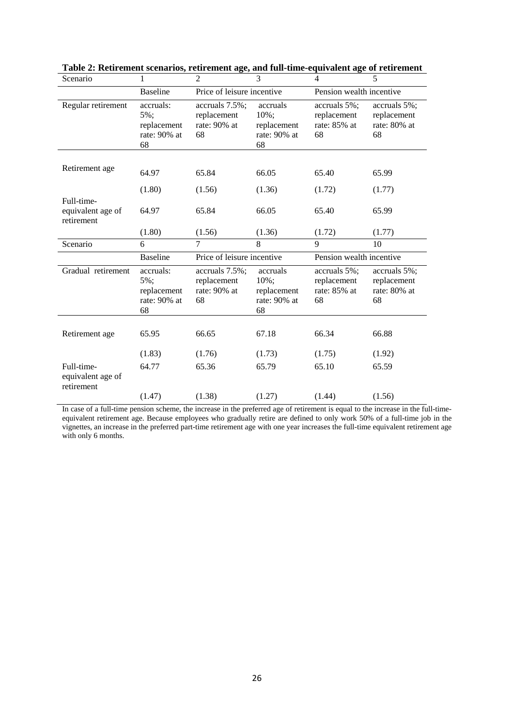| Scenario                                      | 1                                                     | $\overline{2}$                                      | 3                                                         | $\overline{4}$                                    | 5                                                 |
|-----------------------------------------------|-------------------------------------------------------|-----------------------------------------------------|-----------------------------------------------------------|---------------------------------------------------|---------------------------------------------------|
|                                               | <b>Baseline</b>                                       | Price of leisure incentive                          |                                                           | Pension wealth incentive                          |                                                   |
| Regular retirement                            | accruals:<br>5%;<br>replacement<br>rate: 90% at<br>68 | accruals 7.5%;<br>replacement<br>rate: 90% at<br>68 | accruals<br>$10\%$ ;<br>replacement<br>rate: 90% at<br>68 | accruals 5%;<br>replacement<br>rate: 85% at<br>68 | accruals 5%;<br>replacement<br>rate: 80% at<br>68 |
| Retirement age                                | 64.97                                                 | 65.84                                               | 66.05                                                     | 65.40                                             | 65.99                                             |
| Full-time-                                    | (1.80)                                                | (1.56)                                              | (1.36)                                                    | (1.72)                                            | (1.77)                                            |
| equivalent age of<br>retirement               | 64.97                                                 | 65.84                                               | 66.05                                                     | 65.40                                             | 65.99                                             |
|                                               | (1.80)                                                | (1.56)                                              | (1.36)                                                    | (1.72)                                            | (1.77)                                            |
|                                               |                                                       |                                                     |                                                           |                                                   |                                                   |
| Scenario                                      | 6                                                     | $\overline{7}$                                      | $\mathbf{8}$                                              | 9                                                 | 10                                                |
|                                               | <b>Baseline</b>                                       | Price of leisure incentive                          |                                                           | Pension wealth incentive                          |                                                   |
| Gradual retirement                            | accruals:<br>5%;<br>replacement<br>rate: 90% at<br>68 | accruals 7.5%;<br>replacement<br>rate: 90% at<br>68 | accruals<br>10%;<br>replacement<br>rate: 90% at<br>68     | accruals 5%;<br>replacement<br>rate: 85% at<br>68 | accruals 5%;<br>replacement<br>rate: 80% at<br>68 |
|                                               |                                                       |                                                     |                                                           |                                                   |                                                   |
| Retirement age                                | 65.95                                                 | 66.65                                               | 67.18                                                     | 66.34                                             | 66.88                                             |
|                                               | (1.83)                                                | (1.76)                                              | (1.73)                                                    | (1.75)                                            | (1.92)                                            |
| Full-time-<br>equivalent age of<br>retirement | 64.77                                                 | 65.36                                               | 65.79                                                     | 65.10                                             | 65.59                                             |

| Table 2: Retirement scenarios, retirement age, and full-time-equivalent age of retirement |
|-------------------------------------------------------------------------------------------|
|-------------------------------------------------------------------------------------------|

In case of a full-time pension scheme, the increase in the preferred age of retirement is equal to the increase in the full-timeequivalent retirement age. Because employees who gradually retire are defined to only work 50% of a full-time job in the vignettes, an increase in the preferred part-time retirement age with one year increases the full-time equivalent retirement age with only 6 months.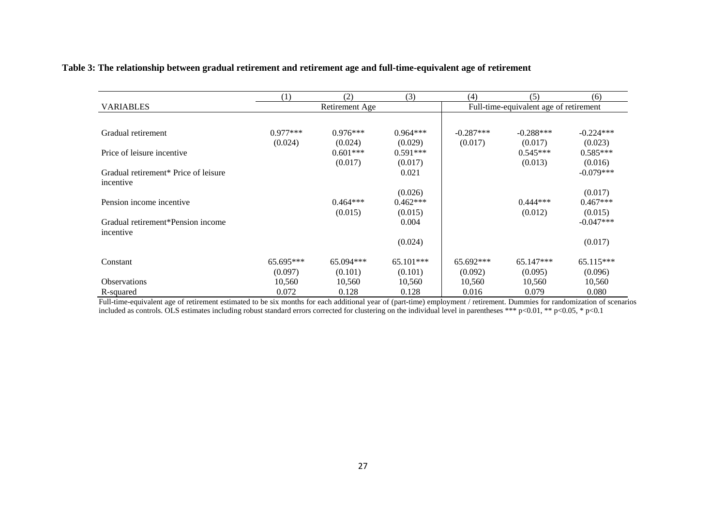|                                                  | (1)        | (2)            | (3)         | (4)         | (5)                                    | (6)         |
|--------------------------------------------------|------------|----------------|-------------|-------------|----------------------------------------|-------------|
| <b>VARIABLES</b>                                 |            | Retirement Age |             |             | Full-time-equivalent age of retirement |             |
|                                                  |            |                |             |             |                                        |             |
| Gradual retirement                               | $0.977***$ | $0.976***$     | $0.964***$  | $-0.287***$ | $-0.288***$                            | $-0.224***$ |
|                                                  | (0.024)    | (0.024)        | (0.029)     | (0.017)     | (0.017)                                | (0.023)     |
| Price of leisure incentive                       |            | $0.601***$     | $0.591***$  |             | $0.545***$                             | $0.585***$  |
|                                                  |            | (0.017)        | (0.017)     |             | (0.013)                                | (0.016)     |
| Gradual retirement <sup>*</sup> Price of leisure |            |                | 0.021       |             |                                        | $-0.079***$ |
| incentive                                        |            |                |             |             |                                        |             |
|                                                  |            |                | (0.026)     |             |                                        | (0.017)     |
| Pension income incentive                         |            | $0.464***$     | $0.462***$  |             | $0.444***$                             | $0.467***$  |
|                                                  |            | (0.015)        | (0.015)     |             | (0.012)                                | (0.015)     |
| Gradual retirement*Pension income                |            |                | 0.004       |             |                                        | $-0.047***$ |
| incentive                                        |            |                |             |             |                                        |             |
|                                                  |            |                | (0.024)     |             |                                        | (0.017)     |
| Constant                                         | 65.695***  | $65.094***$    | $65.101***$ | $65.692***$ | $65.147***$                            | $65.115***$ |
|                                                  | (0.097)    | (0.101)        | (0.101)     | (0.092)     | (0.095)                                | (0.096)     |
| <b>Observations</b>                              | 10,560     | 10,560         | 10,560      | 10,560      | 10,560                                 | 10,560      |
| R-squared                                        | 0.072      | 0.128          | 0.128       | 0.016       | 0.079                                  | 0.080       |

# **Table 3: The relationship between gradual retirement and retirement age and full-time-equivalent age of retirement**

Full-time-equivalent age of retirement estimated to be six months for each additional year of (part-time) employment / retirement. Dummies for randomization of scenarios included as controls. OLS estimates including robust standard errors corrected for clustering on the individual level in parentheses \*\*\* p<0.01, \*\* p<0.05, \* p<0.1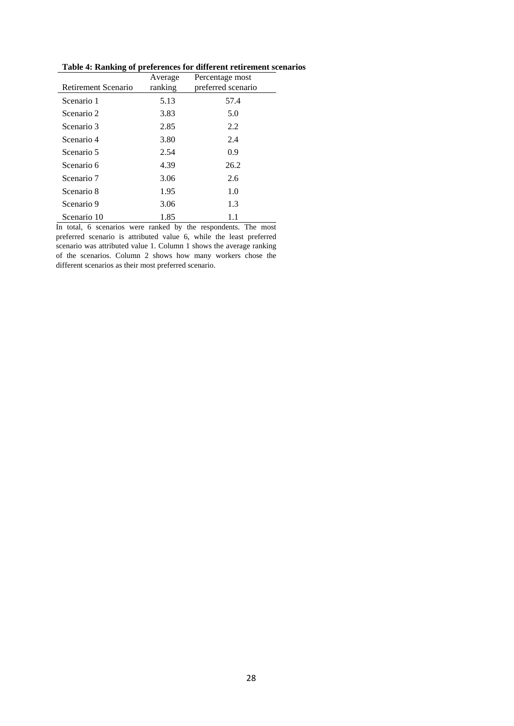| Retirement Scenario | Average<br>ranking | Percentage most<br>preferred scenario |
|---------------------|--------------------|---------------------------------------|
| Scenario 1          | 5.13               | 57.4                                  |
| Scenario 2          | 3.83               | 5.0                                   |
| Scenario 3          | 2.85               | 2.2                                   |
| Scenario 4          | 3.80               | 2.4                                   |
| Scenario 5          | 2.54               | 0.9                                   |
| Scenario 6          | 4.39               | 26.2                                  |
| Scenario 7          | 3.06               | 2.6                                   |
| Scenario 8          | 1.95               | 1.0                                   |
| Scenario 9          | 3.06               | 1.3                                   |
| Scenario 10         | 1.85               | 1.1                                   |

**Table 4: Ranking of preferences for different retirement scenarios** 

In total, 6 scenarios were ranked by the respondents. The most preferred scenario is attributed value 6, while the least preferred scenario was attributed value 1. Column 1 shows the average ranking of the scenarios. Column 2 shows how many workers chose the different scenarios as their most preferred scenario.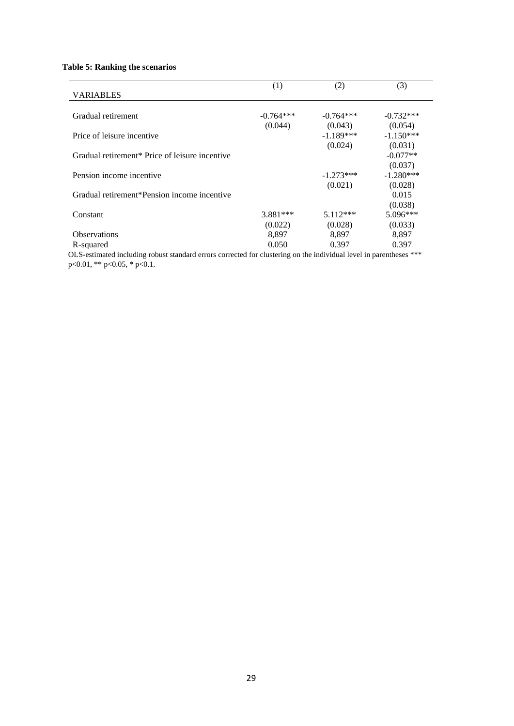# **Table 5: Ranking the scenarios**

|                                                | (1)         | (2)         | (3)         |
|------------------------------------------------|-------------|-------------|-------------|
| <b>VARIABLES</b>                               |             |             |             |
| Gradual retirement                             | $-0.764***$ | $-0.764***$ | $-0.732***$ |
|                                                | (0.044)     | (0.043)     | (0.054)     |
| Price of leisure incentive                     |             | $-1.189***$ | $-1.150***$ |
|                                                |             | (0.024)     | (0.031)     |
| Gradual retirement* Price of leisure incentive |             |             | $-0.077**$  |
|                                                |             |             | (0.037)     |
| Pension income incentive                       |             | $-1.273***$ | $-1.280***$ |
|                                                |             | (0.021)     | (0.028)     |
| Gradual retirement*Pension income incentive    |             |             | 0.015       |
|                                                |             |             | (0.038)     |
| Constant                                       | $3.881***$  | $5.112***$  | $5.096***$  |
|                                                | (0.022)     | (0.028)     | (0.033)     |
| <b>Observations</b>                            | 8.897       | 8,897       | 8,897       |
| R-squared                                      | 0.050       | 0.397       | 0.397       |

OLS-estimated including robust standard errors corrected for clustering on the individual level in parentheses \*\*\* p<0.01, \*\* p<0.05, \* p<0.1.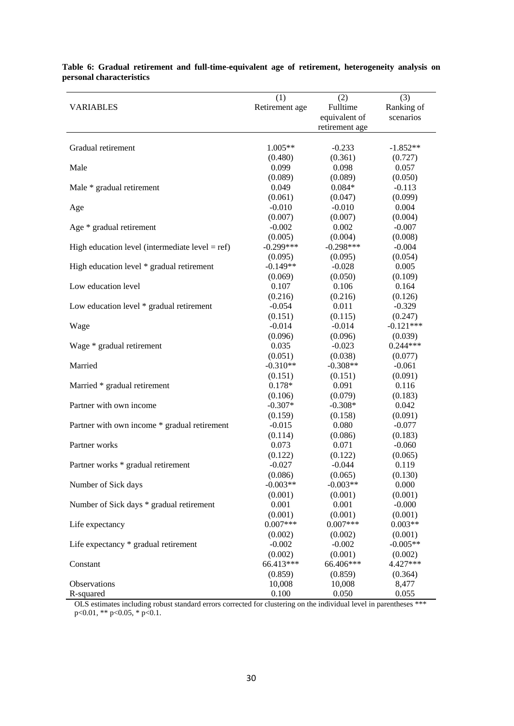|                                                    | (1)            | (2)<br>Fulltime | (3)                     |
|----------------------------------------------------|----------------|-----------------|-------------------------|
| <b>VARIABLES</b>                                   | Retirement age | equivalent of   | Ranking of<br>scenarios |
|                                                    |                |                 |                         |
|                                                    |                | retirement age  |                         |
| Gradual retirement                                 | 1.005**        | $-0.233$        | $-1.852**$              |
|                                                    | (0.480)        | (0.361)         | (0.727)                 |
| Male                                               | 0.099          | 0.098           | 0.057                   |
|                                                    | (0.089)        | (0.089)         | (0.050)                 |
| Male * gradual retirement                          | 0.049          | $0.084*$        | $-0.113$                |
|                                                    | (0.061)        | (0.047)         | (0.099)                 |
| Age                                                | $-0.010$       | $-0.010$        | 0.004                   |
|                                                    | (0.007)        | (0.007)         | (0.004)                 |
| Age * gradual retirement                           | $-0.002$       | 0.002           | $-0.007$                |
|                                                    | (0.005)        | (0.004)         | (0.008)                 |
| High education level (intermediate level $= ref$ ) | $-0.299***$    | $-0.298***$     | $-0.004$                |
|                                                    | (0.095)        | (0.095)         | (0.054)                 |
| High education level * gradual retirement          | $-0.149**$     | $-0.028$        | 0.005                   |
|                                                    | (0.069)        | (0.050)         | (0.109)                 |
| Low education level                                | 0.107          | 0.106           | 0.164                   |
|                                                    | (0.216)        | (0.216)         | (0.126)                 |
| Low education level * gradual retirement           | $-0.054$       | 0.011           | $-0.329$                |
|                                                    | (0.151)        | (0.115)         | (0.247)                 |
| Wage                                               | $-0.014$       | $-0.014$        | $-0.121***$             |
|                                                    | (0.096)        | (0.096)         | (0.039)                 |
| Wage * gradual retirement                          | 0.035          | $-0.023$        | $0.244***$              |
|                                                    | (0.051)        | (0.038)         | (0.077)                 |
| Married                                            | $-0.310**$     | $-0.308**$      | $-0.061$                |
|                                                    | (0.151)        | (0.151)         | (0.091)                 |
| Married * gradual retirement                       | $0.178*$       | 0.091           | 0.116                   |
|                                                    | (0.106)        | (0.079)         | (0.183)                 |
| Partner with own income                            | $-0.307*$      | $-0.308*$       | 0.042                   |
|                                                    | (0.159)        | (0.158)         | (0.091)                 |
| Partner with own income * gradual retirement       | $-0.015$       | 0.080           | $-0.077$                |
|                                                    | (0.114)        | (0.086)         | (0.183)                 |
| Partner works                                      | 0.073          | 0.071           | $-0.060$                |
|                                                    | (0.122)        | (0.122)         | (0.065)                 |
| Partner works * gradual retirement                 | $-0.027$       | $-0.044$        | 0.119                   |
|                                                    | (0.086)        | (0.065)         | (0.130)                 |
| Number of Sick days                                | $-0.003**$     | $-0.003**$      | 0.000                   |
|                                                    | (0.001)        | (0.001)         | (0.001)                 |
| Number of Sick days * gradual retirement           | 0.001          | 0.001           | $-0.000$                |
|                                                    | (0.001)        | (0.001)         | (0.001)                 |
| Life expectancy                                    | $0.007***$     | $0.007***$      | $0.003**$               |
|                                                    | (0.002)        | (0.002)         | (0.001)                 |
| Life expectancy * gradual retirement               | $-0.002$       | $-0.002$        | $-0.005**$              |
|                                                    | (0.002)        | (0.001)         | (0.002)                 |
| Constant                                           | 66.413***      | 66.406***       | 4.427***                |
|                                                    | (0.859)        | (0.859)         | (0.364)                 |
| Observations                                       | 10,008         | 10,008          | 8,477                   |
| R-squared                                          | 0.100          | 0.050           | 0.055                   |

**Table 6: Gradual retirement and full-time-equivalent age of retirement, heterogeneity analysis on personal characteristics** 

OLS estimates including robust standard errors corrected for clustering on the individual level in parentheses \*\*\* p<0.01, \*\* p<0.05, \* p<0.1.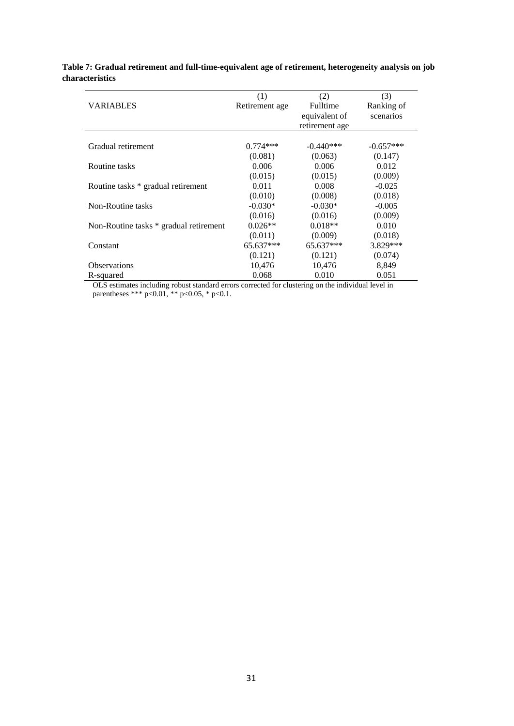|                                        | (1)            | (2)            | (3)         |
|----------------------------------------|----------------|----------------|-------------|
| <b>VARIABLES</b>                       | Retirement age | Fulltime       | Ranking of  |
|                                        |                | equivalent of  | scenarios   |
|                                        |                | retirement age |             |
|                                        |                |                |             |
| Gradual retirement                     | $0.774***$     | $-0.440***$    | $-0.657***$ |
|                                        | (0.081)        | (0.063)        | (0.147)     |
| Routine tasks                          | 0.006          | 0.006          | 0.012       |
|                                        | (0.015)        | (0.015)        | (0.009)     |
| Routine tasks * gradual retirement     | 0.011          | 0.008          | $-0.025$    |
|                                        | (0.010)        | (0.008)        | (0.018)     |
| Non-Routine tasks                      | $-0.030*$      | $-0.030*$      | $-0.005$    |
|                                        | (0.016)        | (0.016)        | (0.009)     |
| Non-Routine tasks * gradual retirement | $0.026**$      | $0.018**$      | 0.010       |
|                                        | (0.011)        | (0.009)        | (0.018)     |
| Constant                               | $65.637***$    | 65.637***      | 3.829 ***   |
|                                        | (0.121)        | (0.121)        | (0.074)     |
| <b>Observations</b>                    | 10,476         | 10,476         | 8,849       |
| R-squared                              | 0.068          | 0.010          | 0.051       |

# **Table 7: Gradual retirement and full-time-equivalent age of retirement, heterogeneity analysis on job characteristics**

OLS estimates including robust standard errors corrected for clustering on the individual level in parentheses \*\*\* p<0.01, \*\* p<0.05, \* p<0.1.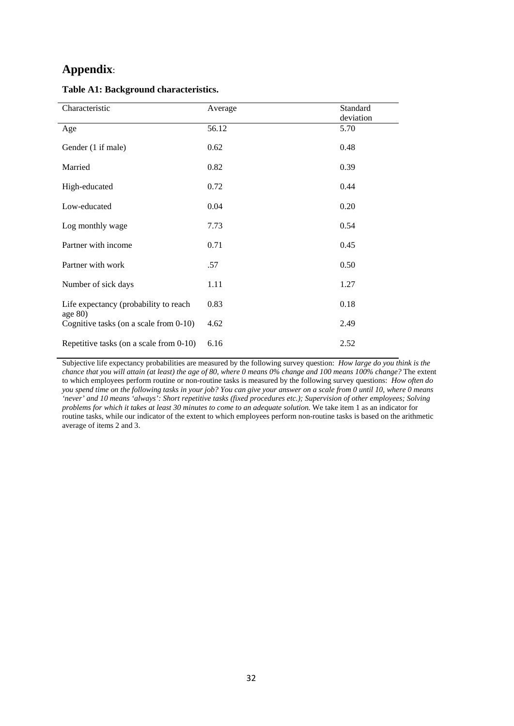# **Appendix**:

| Characteristic                                          | Average | Standard<br>deviation |
|---------------------------------------------------------|---------|-----------------------|
| Age                                                     | 56.12   | 5.70                  |
| Gender (1 if male)                                      | 0.62    | 0.48                  |
| Married                                                 | 0.82    | 0.39                  |
| High-educated                                           | 0.72    | 0.44                  |
| Low-educated                                            | 0.04    | 0.20                  |
| Log monthly wage                                        | 7.73    | 0.54                  |
| Partner with income                                     | 0.71    | 0.45                  |
| Partner with work                                       | .57     | 0.50                  |
| Number of sick days                                     | 1.11    | 1.27                  |
| Life expectancy (probability to reach                   | 0.83    | 0.18                  |
| age $80$ )<br>Cognitive tasks (on a scale from $0-10$ ) | 4.62    | 2.49                  |
| Repetitive tasks (on a scale from 0-10)                 | 6.16    | 2.52                  |

#### **Table A1: Background characteristics.**

Subjective life expectancy probabilities are measured by the following survey question: *How large do you think is the chance that you will attain (at least) the age of 80, where 0 means 0% change and 100 means 100% change?* The extent to which employees perform routine or non-routine tasks is measured by the following survey questions: *How often do you spend time on the following tasks in your job? You can give your answer on a scale from 0 until 10, where 0 means 'never' and 10 means 'always': Short repetitive tasks (fixed procedures etc.); Supervision of other employees; Solving problems for which it takes at least 30 minutes to come to an adequate solution.* We take item 1 as an indicator for routine tasks, while our indicator of the extent to which employees perform non-routine tasks is based on the arithmetic average of items 2 and 3.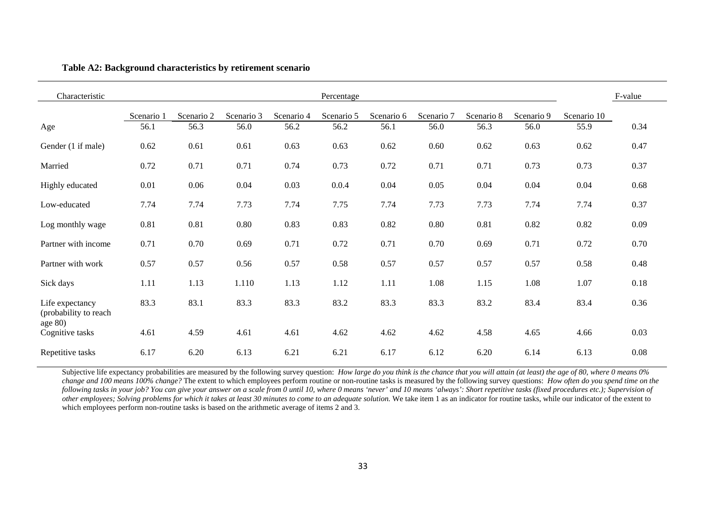#### **Table A2: Background characteristics by retirement scenario**

| Characteristic                           |            |            |            |            | Percentage |            |            |            |            |             | F-value |
|------------------------------------------|------------|------------|------------|------------|------------|------------|------------|------------|------------|-------------|---------|
|                                          | Scenario 1 | Scenario 2 | Scenario 3 | Scenario 4 | Scenario 5 | Scenario 6 | Scenario 7 | Scenario 8 | Scenario 9 | Scenario 10 |         |
| Age                                      | 56.1       | 56.3       | 56.0       | 56.2       | 56.2       | 56.1       | 56.0       | 56.3       | 56.0       | 55.9        | 0.34    |
| Gender (1 if male)                       | 0.62       | 0.61       | 0.61       | 0.63       | 0.63       | 0.62       | 0.60       | 0.62       | 0.63       | 0.62        | 0.47    |
| Married                                  | 0.72       | 0.71       | 0.71       | 0.74       | 0.73       | 0.72       | 0.71       | 0.71       | 0.73       | 0.73        | 0.37    |
| Highly educated                          | 0.01       | 0.06       | 0.04       | 0.03       | 0.0.4      | 0.04       | 0.05       | 0.04       | 0.04       | 0.04        | 0.68    |
| Low-educated                             | 7.74       | 7.74       | 7.73       | 7.74       | 7.75       | 7.74       | 7.73       | 7.73       | 7.74       | 7.74        | 0.37    |
| Log monthly wage                         | 0.81       | 0.81       | 0.80       | 0.83       | 0.83       | 0.82       | 0.80       | 0.81       | 0.82       | 0.82        | 0.09    |
| Partner with income                      | 0.71       | 0.70       | 0.69       | 0.71       | 0.72       | 0.71       | 0.70       | 0.69       | 0.71       | 0.72        | 0.70    |
| Partner with work                        | 0.57       | 0.57       | 0.56       | 0.57       | 0.58       | 0.57       | 0.57       | 0.57       | 0.57       | 0.58        | 0.48    |
| Sick days                                | 1.11       | 1.13       | 1.110      | 1.13       | 1.12       | 1.11       | 1.08       | 1.15       | 1.08       | 1.07        | 0.18    |
| Life expectancy<br>(probability to reach | 83.3       | 83.1       | 83.3       | 83.3       | 83.2       | 83.3       | 83.3       | 83.2       | 83.4       | 83.4        | 0.36    |
| age $80$ )<br>Cognitive tasks            | 4.61       | 4.59       | 4.61       | 4.61       | 4.62       | 4.62       | 4.62       | 4.58       | 4.65       | 4.66        | 0.03    |
| Repetitive tasks                         | 6.17       | 6.20       | 6.13       | 6.21       | 6.21       | 6.17       | 6.12       | 6.20       | 6.14       | 6.13        | 0.08    |

Subjective life expectancy probabilities are measured by the following survey question: *How large do you think is the chance that you will attain (at least) the age of 80, where 0 means 0% change and 100 means 100% change?* The extent to which employees perform routine or non-routine tasks is measured by the following survey questions: *How often do you spend time on the following tasks in your job? You can give your answer on a scale from 0 until 10, where 0 means 'never' and 10 means 'always': Short repetitive tasks (fixed procedures etc.); Supervision of other employees; Solving problems for which it takes at least 30 minutes to come to an adequate solution*. We take item 1 as an indicator for routine tasks, while our indicator of the extent to which employees perform non-routine tasks is based on the arithmetic average of items 2 and 3.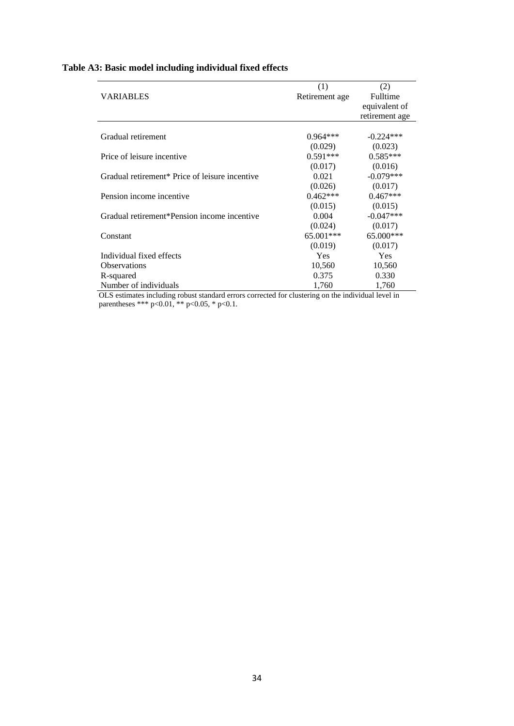|  | Table A3: Basic model including individual fixed effects |  |  |  |  |  |  |  |  |
|--|----------------------------------------------------------|--|--|--|--|--|--|--|--|
|--|----------------------------------------------------------|--|--|--|--|--|--|--|--|

|                                                | (1)            | (2)            |
|------------------------------------------------|----------------|----------------|
| <b>VARIABLES</b>                               | Retirement age | Fulltime       |
|                                                |                | equivalent of  |
|                                                |                | retirement age |
|                                                |                |                |
| Gradual retirement                             | $0.964***$     | $-0.224***$    |
|                                                | (0.029)        | (0.023)        |
| Price of leisure incentive                     | $0.591***$     | $0.585***$     |
|                                                | (0.017)        | (0.016)        |
| Gradual retirement* Price of leisure incentive | 0.021          | $-0.079***$    |
|                                                | (0.026)        | (0.017)        |
| Pension income incentive                       | $0.462***$     | $0.467***$     |
|                                                | (0.015)        | (0.015)        |
| Gradual retirement*Pension income incentive    | 0.004          | $-0.047***$    |
|                                                | (0.024)        | (0.017)        |
| Constant                                       | 65.001***      | 65.000***      |
|                                                | (0.019)        | (0.017)        |
| Individual fixed effects                       | <b>Yes</b>     | Yes            |
| <b>Observations</b>                            | 10,560         | 10,560         |
| R-squared                                      | 0.375          | 0.330          |
| Number of individuals                          | 1,760          | 1,760          |

OLS estimates including robust standard errors corrected for clustering on the individual level in parentheses \*\*\* p<0.01, \*\* p<0.05, \* p<0.1.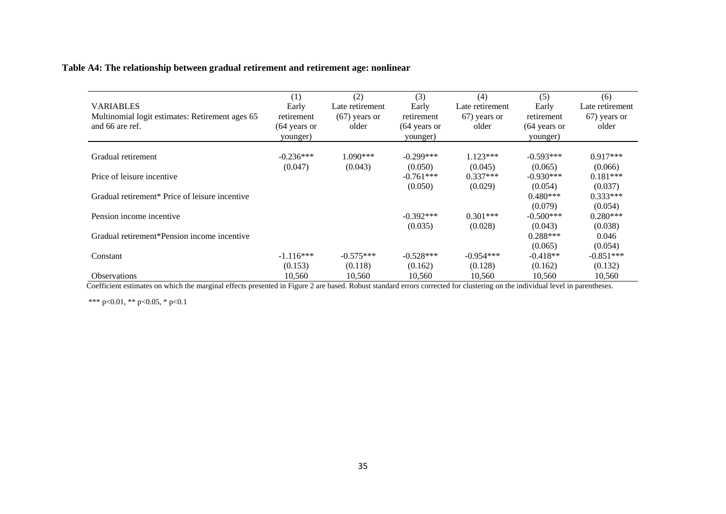# **Table A4: The relationship between gradual retirement and retirement age: nonlinear**

| <b>VARIABLES</b><br>Multinomial logit estimates: Retirement ages 65<br>and 66 are ref. | (1)<br>Early<br>retirement<br>$(64 \text{ years or})$<br>younger) | (2)<br>Late retirement<br>$(67)$ years or<br>older | (3)<br>Early<br>retirement<br>(64 years or<br>younger) | (4)<br>Late retirement<br>67) years or<br>older | (5)<br>Early<br>retirement<br>$(64$ years or<br>younger) | (6)<br>Late retirement<br>67) years or<br>older |
|----------------------------------------------------------------------------------------|-------------------------------------------------------------------|----------------------------------------------------|--------------------------------------------------------|-------------------------------------------------|----------------------------------------------------------|-------------------------------------------------|
|                                                                                        | $-0.236***$                                                       | $1.090***$                                         | $-0.299***$                                            | $1.123***$                                      | $-0.593***$                                              | $0.917***$                                      |
| Gradual retirement                                                                     | (0.047)                                                           | (0.043)                                            | (0.050)                                                | (0.045)                                         | (0.065)                                                  | (0.066)                                         |
| Price of leisure incentive                                                             |                                                                   |                                                    | $-0.761***$                                            | $0.337***$                                      | $-0.930***$                                              | $0.181***$                                      |
|                                                                                        |                                                                   |                                                    | (0.050)                                                | (0.029)                                         | (0.054)                                                  | (0.037)                                         |
| Gradual retirement <sup>*</sup> Price of leisure incentive                             |                                                                   |                                                    |                                                        |                                                 | $0.480***$                                               | $0.333***$                                      |
|                                                                                        |                                                                   |                                                    |                                                        |                                                 | (0.079)                                                  | (0.054)                                         |
| Pension income incentive                                                               |                                                                   |                                                    | $-0.392***$                                            | $0.301***$                                      | $-0.500***$                                              | $0.280***$                                      |
|                                                                                        |                                                                   |                                                    | (0.035)                                                | (0.028)                                         | (0.043)                                                  | (0.038)                                         |
| Gradual retirement*Pension income incentive                                            |                                                                   |                                                    |                                                        |                                                 | $0.288***$                                               | 0.046                                           |
|                                                                                        |                                                                   |                                                    |                                                        |                                                 | (0.065)                                                  | (0.054)                                         |
| Constant                                                                               | $-1.116***$                                                       | $-0.575***$                                        | $-0.528***$                                            | $-0.954***$                                     | $-0.418**$                                               | $-0.851***$                                     |
|                                                                                        | (0.153)                                                           | (0.118)                                            | (0.162)                                                | (0.128)                                         | (0.162)                                                  | (0.132)                                         |
| <b>Observations</b><br>$\cdot$ $\cdot$ $\cdot$ $\cdot$<br>.                            | 10,560                                                            | 10,560                                             | 10,560                                                 | 10,560                                          | 10,560                                                   | 10,560                                          |

Coefficient estimates on which the marginal effects presented in Figure 2 are based. Robust standard errors corrected for clustering on the individual level in parentheses.

\*\*\* p<0.01, \*\* p<0.05, \* p<0.1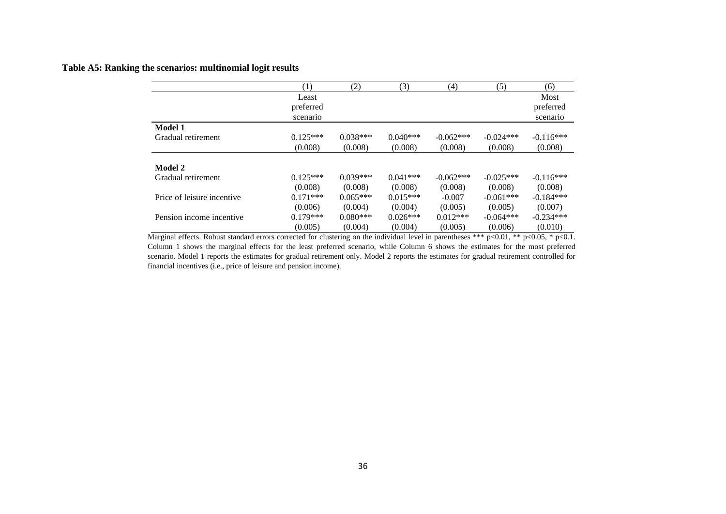# **Table A5: Ranking the scenarios: multinomial logit results**

|                            | (1)        | (2)        | (3)        | (4)         | (5)         | (6)         |
|----------------------------|------------|------------|------------|-------------|-------------|-------------|
|                            | Least      |            |            |             |             | Most        |
|                            | preferred  |            |            |             |             | preferred   |
|                            | scenario   |            |            |             |             | scenario    |
| Model 1                    |            |            |            |             |             |             |
| Gradual retirement         | $0.125***$ | $0.038***$ | $0.040***$ | $-0.062***$ | $-0.024***$ | $-0.116***$ |
|                            | (0.008)    | (0.008)    | (0.008)    | (0.008)     | (0.008)     | (0.008)     |
| Model 2                    |            |            |            |             |             |             |
| Gradual retirement         | $0.125***$ | $0.039***$ | $0.041***$ | $-0.062***$ | $-0.025***$ | $-0.116***$ |
|                            | (0.008)    | (0.008)    | (0.008)    | (0.008)     | (0.008)     | (0.008)     |
| Price of leisure incentive | $0.171***$ | $0.065***$ | $0.015***$ | $-0.007$    | $-0.061***$ | $-0.184***$ |
|                            | (0.006)    | (0.004)    | (0.004)    | (0.005)     | (0.005)     | (0.007)     |
| Pension income incentive   | $0.179***$ | $0.080***$ | $0.026***$ | $0.012***$  | $-0.064***$ | $-0.234***$ |
|                            | (0.005)    | (0.004)    | (0.004)    | (0.005)     | (0.006)     | (0.010)     |

Marginal effects. Robust standard errors corrected for clustering on the individual level in parentheses \*\*\* p<0.01, \*\* p<0.05, \* p<0.1. Column 1 shows the marginal effects for the least preferred scenario, while Column 6 shows the estimates for the most preferred scenario. Model 1 reports the estimates for gradual retirement only. Model 2 reports the estimates for gradual retirement controlled for financial incentives (i.e., price of leisure and pension income).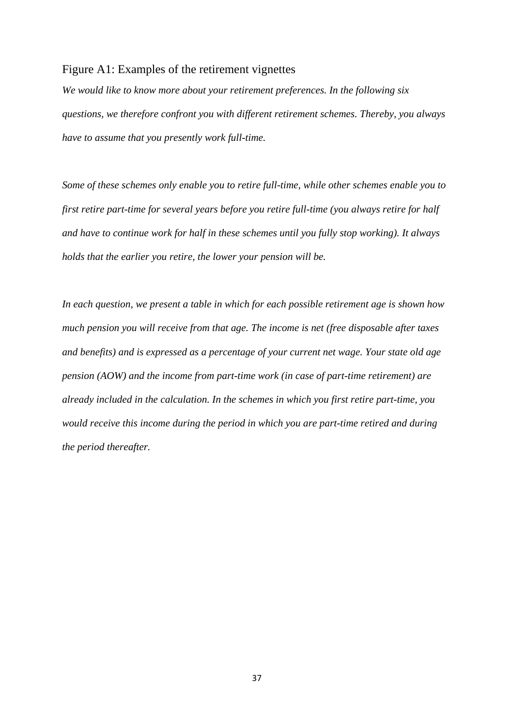# Figure A1: Examples of the retirement vignettes

*We would like to know more about your retirement preferences. In the following six questions, we therefore confront you with different retirement schemes. Thereby, you always have to assume that you presently work full-time.* 

*Some of these schemes only enable you to retire full-time, while other schemes enable you to first retire part-time for several years before you retire full-time (you always retire for half and have to continue work for half in these schemes until you fully stop working). It always holds that the earlier you retire, the lower your pension will be.* 

*In each question, we present a table in which for each possible retirement age is shown how much pension you will receive from that age. The income is net (free disposable after taxes and benefits) and is expressed as a percentage of your current net wage. Your state old age pension (AOW) and the income from part-time work (in case of part-time retirement) are already included in the calculation. In the schemes in which you first retire part-time, you would receive this income during the period in which you are part-time retired and during the period thereafter.*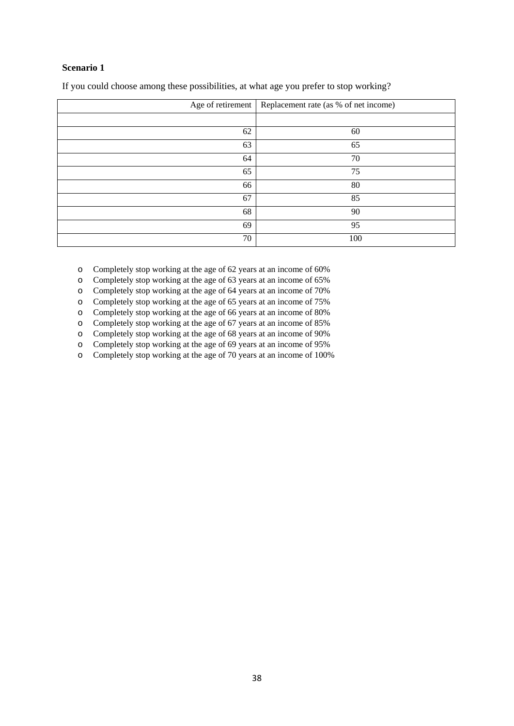# **Scenario 1**

| Age of retirement | Replacement rate (as % of net income) |  |
|-------------------|---------------------------------------|--|
|                   |                                       |  |
| 62                | 60                                    |  |
| 63                | 65                                    |  |
| 64                | 70                                    |  |
| 65                | 75                                    |  |
| 66                | 80                                    |  |
| 67                | 85                                    |  |
| 68                | 90                                    |  |
| 69                | 95                                    |  |
| 70                | 100                                   |  |

If you could choose among these possibilities, at what age you prefer to stop working?

o Completely stop working at the age of 62 years at an income of 60%

o Completely stop working at the age of 63 years at an income of 65%

o Completely stop working at the age of 64 years at an income of 70%

o Completely stop working at the age of 65 years at an income of 75%

o Completely stop working at the age of 66 years at an income of 80%

o Completely stop working at the age of 67 years at an income of 85%

o Completely stop working at the age of 68 years at an income of 90% o Completely stop working at the age of 69 years at an income of 95%

o Completely stop working at the age of 70 years at an income of 100%